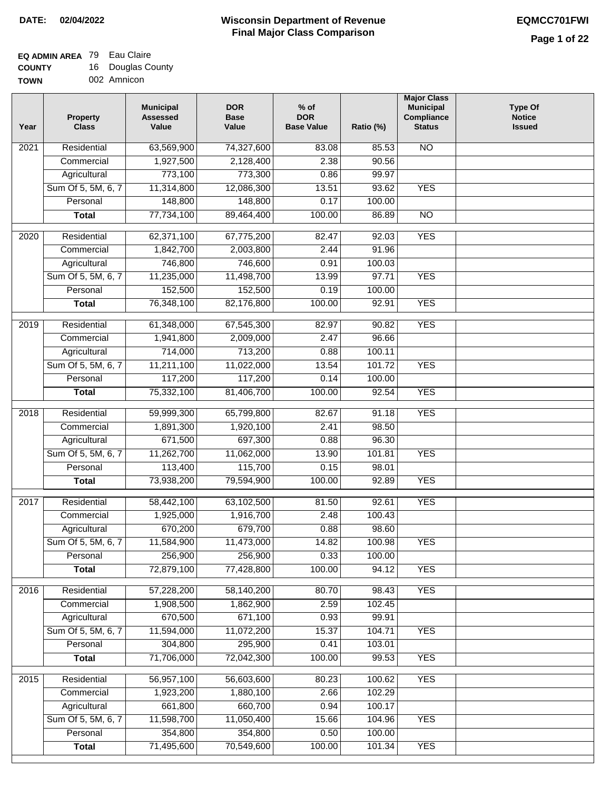### **EQ ADMIN AREA** 79 Eau Claire

**COUNTY TOWN** 16 Douglas County 002 Amnicon

| Year             | <b>Property</b><br><b>Class</b> | <b>Municipal</b><br><b>Assessed</b><br>Value | <b>DOR</b><br><b>Base</b><br>Value | $%$ of<br><b>DOR</b><br><b>Base Value</b> | Ratio (%) | <b>Major Class</b><br><b>Municipal</b><br>Compliance<br><b>Status</b> | <b>Type Of</b><br><b>Notice</b><br><b>Issued</b> |
|------------------|---------------------------------|----------------------------------------------|------------------------------------|-------------------------------------------|-----------|-----------------------------------------------------------------------|--------------------------------------------------|
| 2021             | Residential                     | 63,569,900                                   | 74,327,600                         | 83.08                                     | 85.53     | N <sub>O</sub>                                                        |                                                  |
|                  | Commercial                      | 1,927,500                                    | 2,128,400                          | 2.38                                      | 90.56     |                                                                       |                                                  |
|                  | Agricultural                    | 773,100                                      | 773,300                            | 0.86                                      | 99.97     |                                                                       |                                                  |
|                  | Sum Of 5, 5M, 6, 7              | 11,314,800                                   | 12,086,300                         | 13.51                                     | 93.62     | <b>YES</b>                                                            |                                                  |
|                  | Personal                        | 148,800                                      | 148,800                            | 0.17                                      | 100.00    |                                                                       |                                                  |
|                  | <b>Total</b>                    | 77,734,100                                   | 89,464,400                         | 100.00                                    | 86.89     | $\overline{NO}$                                                       |                                                  |
| $\frac{1}{2020}$ | Residential                     | 62,371,100                                   | 67,775,200                         | 82.47                                     | 92.03     | <b>YES</b>                                                            |                                                  |
|                  | Commercial                      | 1,842,700                                    | 2,003,800                          | 2.44                                      | 91.96     |                                                                       |                                                  |
|                  | Agricultural                    | 746,800                                      | 746,600                            | 0.91                                      | 100.03    |                                                                       |                                                  |
|                  | Sum Of 5, 5M, 6, 7              | 11,235,000                                   | 11,498,700                         | 13.99                                     | 97.71     | <b>YES</b>                                                            |                                                  |
|                  | Personal                        | 152,500                                      | 152,500                            | 0.19                                      | 100.00    |                                                                       |                                                  |
|                  | <b>Total</b>                    | 76,348,100                                   | 82,176,800                         | 100.00                                    | 92.91     | <b>YES</b>                                                            |                                                  |
|                  |                                 |                                              |                                    |                                           |           |                                                                       |                                                  |
| 2019             | Residential                     | 61,348,000                                   | 67,545,300                         | 82.97                                     | 90.82     | <b>YES</b>                                                            |                                                  |
|                  | Commercial                      | 1,941,800                                    | 2,009,000                          | 2.47                                      | 96.66     |                                                                       |                                                  |
|                  | Agricultural                    | 714,000                                      | 713,200                            | 0.88                                      | 100.11    |                                                                       |                                                  |
|                  | Sum Of 5, 5M, 6, 7              | 11,211,100                                   | 11,022,000                         | 13.54                                     | 101.72    | <b>YES</b>                                                            |                                                  |
|                  | Personal                        | 117,200                                      | 117,200                            | 0.14                                      | 100.00    |                                                                       |                                                  |
|                  | <b>Total</b>                    | 75,332,100                                   | 81,406,700                         | 100.00                                    | 92.54     | <b>YES</b>                                                            |                                                  |
| 2018             | Residential                     | 59,999,300                                   | 65,799,800                         | 82.67                                     | 91.18     | <b>YES</b>                                                            |                                                  |
|                  | Commercial                      | 1,891,300                                    | 1,920,100                          | 2.41                                      | 98.50     |                                                                       |                                                  |
|                  | Agricultural                    | 671,500                                      | 697,300                            | 0.88                                      | 96.30     |                                                                       |                                                  |
|                  | Sum Of 5, 5M, 6, 7              | 11,262,700                                   | 11,062,000                         | 13.90                                     | 101.81    | <b>YES</b>                                                            |                                                  |
|                  | Personal                        | 113,400                                      | 115,700                            | 0.15                                      | 98.01     |                                                                       |                                                  |
|                  | <b>Total</b>                    | 73,938,200                                   | 79,594,900                         | 100.00                                    | 92.89     | <b>YES</b>                                                            |                                                  |
| 2017             | Residential                     | 58,442,100                                   | 63,102,500                         | 81.50                                     | 92.61     | <b>YES</b>                                                            |                                                  |
|                  | Commercial                      | 1,925,000                                    | 1,916,700                          | 2.48                                      | 100.43    |                                                                       |                                                  |
|                  | Agricultural                    | 670,200                                      | 679,700                            | 0.88                                      | 98.60     |                                                                       |                                                  |
|                  | Sum Of 5, 5M, 6, 7              | 11,584,900                                   | 11,473,000                         | 14.82                                     | 100.98    | <b>YES</b>                                                            |                                                  |
|                  | Personal                        | 256,900                                      | 256,900                            | 0.33                                      | 100.00    |                                                                       |                                                  |
|                  | <b>Total</b>                    | 72,879,100                                   | 77,428,800                         | 100.00                                    | 94.12     | <b>YES</b>                                                            |                                                  |
|                  |                                 |                                              |                                    |                                           |           |                                                                       |                                                  |
| 2016             | Residential                     | 57,228,200                                   | 58,140,200                         | 80.70                                     | 98.43     | <b>YES</b>                                                            |                                                  |
|                  | Commercial                      | 1,908,500                                    | 1,862,900                          | 2.59                                      | 102.45    |                                                                       |                                                  |
|                  | Agricultural                    | 670,500                                      | 671,100                            | 0.93                                      | 99.91     |                                                                       |                                                  |
|                  | Sum Of 5, 5M, 6, 7              | 11,594,000                                   | 11,072,200                         | 15.37                                     | 104.71    | <b>YES</b>                                                            |                                                  |
|                  | Personal                        | 304,800                                      | 295,900                            | 0.41                                      | 103.01    |                                                                       |                                                  |
|                  | <b>Total</b>                    | 71,706,000                                   | 72,042,300                         | 100.00                                    | 99.53     | <b>YES</b>                                                            |                                                  |
| 2015             | Residential                     | 56,957,100                                   | 56,603,600                         | 80.23                                     | 100.62    | <b>YES</b>                                                            |                                                  |
|                  | Commercial                      | 1,923,200                                    | 1,880,100                          | 2.66                                      | 102.29    |                                                                       |                                                  |
|                  | Agricultural                    | 661,800                                      | 660,700                            | 0.94                                      | 100.17    |                                                                       |                                                  |
|                  | Sum Of 5, 5M, 6, 7              | 11,598,700                                   | 11,050,400                         | 15.66                                     | 104.96    | <b>YES</b>                                                            |                                                  |
|                  | Personal                        | 354,800                                      | 354,800                            | 0.50                                      | 100.00    |                                                                       |                                                  |
|                  | <b>Total</b>                    | 71,495,600                                   | 70,549,600                         | 100.00                                    | 101.34    | <b>YES</b>                                                            |                                                  |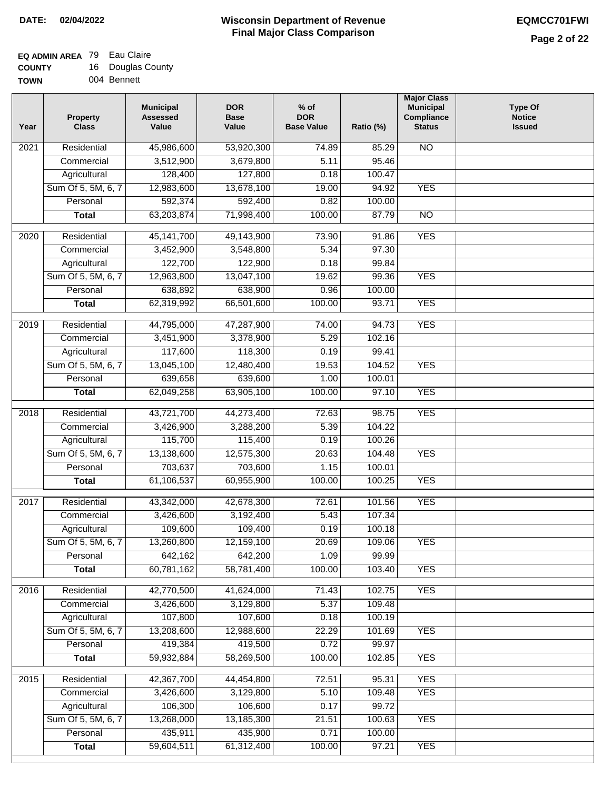#### **EQ ADMIN AREA** 79 Eau Claire **COUNTY**  $16<sub>2</sub>$

| <b>COUNTY</b> | 16 Douglas County |
|---------------|-------------------|
| <b>TOWN</b>   | 004 Bennett       |

| Residential<br>45,986,600<br>$\overline{NO}$<br>$\overline{202}1$<br>53,920,300<br>74.89<br>85.29<br>3,512,900<br>5.11<br>95.46<br>Commercial<br>3,679,800<br>Agricultural<br>128,400<br>127,800<br>100.47<br>0.18<br>Sum Of 5, 5M, 6, 7<br>12,983,600<br>13,678,100<br>19.00<br>94.92<br><b>YES</b><br>592,374<br>592,400<br>Personal<br>0.82<br>100.00<br>63,203,874<br>71,998,400<br>100.00<br>87.79<br>$\overline{NO}$<br><b>Total</b><br><b>YES</b><br>$\overline{2020}$<br>Residential<br>45, 141, 700<br>49,143,900<br>73.90<br>91.86<br>5.34<br>97.30<br>Commercial<br>3,452,900<br>3,548,800<br>122,700<br>122,900<br>0.18<br>99.84<br>Agricultural<br>Sum Of 5, 5M, 6, 7<br>12,963,800<br>13,047,100<br>19.62<br>99.36<br><b>YES</b><br>638,900<br>100.00<br>Personal<br>638,892<br>0.96<br>66,501,600<br>100.00<br><b>YES</b><br>62,319,992<br>93.71<br><b>Total</b><br><b>YES</b><br>2019<br>Residential<br>44,795,000<br>47,287,900<br>74.00<br>94.73<br>3,451,900<br>3,378,900<br>5.29<br>102.16<br>Commercial<br>117,600<br>118,300<br>0.19<br>99.41<br>Agricultural<br>104.52<br><b>YES</b><br>Sum Of 5, 5M, 6, 7<br>13,045,100<br>12,480,400<br>19.53<br>639,658<br>639,600<br>Personal<br>1.00<br>100.01<br>62,049,258<br>63,905,100<br>100.00<br>97.10<br><b>YES</b><br><b>Total</b><br>Residential<br>43,721,700<br>44,273,400<br>98.75<br><b>YES</b><br>2018<br>72.63<br>104.22<br>Commercial<br>3,426,900<br>3,288,200<br>5.39<br>115,700<br>115,400<br>100.26<br>Agricultural<br>0.19<br>Sum Of 5, 5M, 6, 7<br>13,138,600<br>12,575,300<br>20.63<br>104.48<br><b>YES</b><br>Personal<br>703,637<br>703,600<br>100.01<br>1.15<br>61,106,537<br>60,955,900<br>100.00<br>100.25<br><b>YES</b><br><b>Total</b><br>2017<br>Residential<br>43,342,000<br>42,678,300<br>72.61<br>101.56<br><b>YES</b><br>Commercial<br>3,426,600<br>3,192,400<br>5.43<br>107.34<br>109,600<br>109,400<br>0.19<br>100.18<br>Agricultural<br>13,260,800<br>12,159,100<br>20.69<br>Sum Of 5, 5M, 6, 7<br>109.06<br><b>YES</b><br>642,162<br>1.09<br>Personal<br>642,200<br>99.99<br>60,781,162<br>58,781,400<br>100.00<br>103.40<br><b>YES</b><br><b>Total</b><br><b>YES</b><br>2016<br>Residential<br>42,770,500<br>41,624,000<br>102.75<br>71.43<br>3,426,600<br>3,129,800<br>5.37<br>109.48<br>Commercial<br>107,800<br>107,600<br>100.19<br>Agricultural<br>0.18<br>Sum Of 5, 5M, 6, 7<br>13,208,600<br>12,988,600<br>22.29<br><b>YES</b><br>101.69<br>419,384<br>Personal<br>419,500<br>0.72<br>99.97<br><b>YES</b><br>59,932,884<br>58,269,500<br>100.00<br>102.85<br><b>Total</b><br>Residential<br><b>YES</b><br>2015<br>42,367,700<br>44,454,800<br>72.51<br>95.31<br>3,426,600<br>3,129,800<br>5.10<br>109.48<br><b>YES</b><br>Commercial<br>106,300<br>106,600<br>0.17<br>99.72<br>Agricultural<br>Sum Of 5, 5M, 6, 7<br>13,268,000<br>13,185,300<br>21.51<br>100.63<br><b>YES</b><br>435,911<br>435,900<br>0.71<br>100.00<br>Personal<br>59,604,511<br>61,312,400<br>100.00<br><b>YES</b><br><b>Total</b><br>97.21 | Year | <b>Property</b><br><b>Class</b> | <b>Municipal</b><br><b>Assessed</b><br>Value | <b>DOR</b><br><b>Base</b><br>Value | % of<br><b>DOR</b><br><b>Base Value</b> | Ratio (%) | <b>Major Class</b><br><b>Municipal</b><br>Compliance<br><b>Status</b> | <b>Type Of</b><br><b>Notice</b><br><b>Issued</b> |
|-----------------------------------------------------------------------------------------------------------------------------------------------------------------------------------------------------------------------------------------------------------------------------------------------------------------------------------------------------------------------------------------------------------------------------------------------------------------------------------------------------------------------------------------------------------------------------------------------------------------------------------------------------------------------------------------------------------------------------------------------------------------------------------------------------------------------------------------------------------------------------------------------------------------------------------------------------------------------------------------------------------------------------------------------------------------------------------------------------------------------------------------------------------------------------------------------------------------------------------------------------------------------------------------------------------------------------------------------------------------------------------------------------------------------------------------------------------------------------------------------------------------------------------------------------------------------------------------------------------------------------------------------------------------------------------------------------------------------------------------------------------------------------------------------------------------------------------------------------------------------------------------------------------------------------------------------------------------------------------------------------------------------------------------------------------------------------------------------------------------------------------------------------------------------------------------------------------------------------------------------------------------------------------------------------------------------------------------------------------------------------------------------------------------------------------------------------------------------------------------------------------------------------------------------------------------------------------------------------------------------------------------------------------------------------------------------------------------------------------------------------------------------------------------------------------------------------------------------------------------------------------------------------------------------------------------------------------------------------------------------------------------------------|------|---------------------------------|----------------------------------------------|------------------------------------|-----------------------------------------|-----------|-----------------------------------------------------------------------|--------------------------------------------------|
|                                                                                                                                                                                                                                                                                                                                                                                                                                                                                                                                                                                                                                                                                                                                                                                                                                                                                                                                                                                                                                                                                                                                                                                                                                                                                                                                                                                                                                                                                                                                                                                                                                                                                                                                                                                                                                                                                                                                                                                                                                                                                                                                                                                                                                                                                                                                                                                                                                                                                                                                                                                                                                                                                                                                                                                                                                                                                                                                                                                                                             |      |                                 |                                              |                                    |                                         |           |                                                                       |                                                  |
|                                                                                                                                                                                                                                                                                                                                                                                                                                                                                                                                                                                                                                                                                                                                                                                                                                                                                                                                                                                                                                                                                                                                                                                                                                                                                                                                                                                                                                                                                                                                                                                                                                                                                                                                                                                                                                                                                                                                                                                                                                                                                                                                                                                                                                                                                                                                                                                                                                                                                                                                                                                                                                                                                                                                                                                                                                                                                                                                                                                                                             |      |                                 |                                              |                                    |                                         |           |                                                                       |                                                  |
|                                                                                                                                                                                                                                                                                                                                                                                                                                                                                                                                                                                                                                                                                                                                                                                                                                                                                                                                                                                                                                                                                                                                                                                                                                                                                                                                                                                                                                                                                                                                                                                                                                                                                                                                                                                                                                                                                                                                                                                                                                                                                                                                                                                                                                                                                                                                                                                                                                                                                                                                                                                                                                                                                                                                                                                                                                                                                                                                                                                                                             |      |                                 |                                              |                                    |                                         |           |                                                                       |                                                  |
|                                                                                                                                                                                                                                                                                                                                                                                                                                                                                                                                                                                                                                                                                                                                                                                                                                                                                                                                                                                                                                                                                                                                                                                                                                                                                                                                                                                                                                                                                                                                                                                                                                                                                                                                                                                                                                                                                                                                                                                                                                                                                                                                                                                                                                                                                                                                                                                                                                                                                                                                                                                                                                                                                                                                                                                                                                                                                                                                                                                                                             |      |                                 |                                              |                                    |                                         |           |                                                                       |                                                  |
|                                                                                                                                                                                                                                                                                                                                                                                                                                                                                                                                                                                                                                                                                                                                                                                                                                                                                                                                                                                                                                                                                                                                                                                                                                                                                                                                                                                                                                                                                                                                                                                                                                                                                                                                                                                                                                                                                                                                                                                                                                                                                                                                                                                                                                                                                                                                                                                                                                                                                                                                                                                                                                                                                                                                                                                                                                                                                                                                                                                                                             |      |                                 |                                              |                                    |                                         |           |                                                                       |                                                  |
|                                                                                                                                                                                                                                                                                                                                                                                                                                                                                                                                                                                                                                                                                                                                                                                                                                                                                                                                                                                                                                                                                                                                                                                                                                                                                                                                                                                                                                                                                                                                                                                                                                                                                                                                                                                                                                                                                                                                                                                                                                                                                                                                                                                                                                                                                                                                                                                                                                                                                                                                                                                                                                                                                                                                                                                                                                                                                                                                                                                                                             |      |                                 |                                              |                                    |                                         |           |                                                                       |                                                  |
|                                                                                                                                                                                                                                                                                                                                                                                                                                                                                                                                                                                                                                                                                                                                                                                                                                                                                                                                                                                                                                                                                                                                                                                                                                                                                                                                                                                                                                                                                                                                                                                                                                                                                                                                                                                                                                                                                                                                                                                                                                                                                                                                                                                                                                                                                                                                                                                                                                                                                                                                                                                                                                                                                                                                                                                                                                                                                                                                                                                                                             |      |                                 |                                              |                                    |                                         |           |                                                                       |                                                  |
|                                                                                                                                                                                                                                                                                                                                                                                                                                                                                                                                                                                                                                                                                                                                                                                                                                                                                                                                                                                                                                                                                                                                                                                                                                                                                                                                                                                                                                                                                                                                                                                                                                                                                                                                                                                                                                                                                                                                                                                                                                                                                                                                                                                                                                                                                                                                                                                                                                                                                                                                                                                                                                                                                                                                                                                                                                                                                                                                                                                                                             |      |                                 |                                              |                                    |                                         |           |                                                                       |                                                  |
|                                                                                                                                                                                                                                                                                                                                                                                                                                                                                                                                                                                                                                                                                                                                                                                                                                                                                                                                                                                                                                                                                                                                                                                                                                                                                                                                                                                                                                                                                                                                                                                                                                                                                                                                                                                                                                                                                                                                                                                                                                                                                                                                                                                                                                                                                                                                                                                                                                                                                                                                                                                                                                                                                                                                                                                                                                                                                                                                                                                                                             |      |                                 |                                              |                                    |                                         |           |                                                                       |                                                  |
|                                                                                                                                                                                                                                                                                                                                                                                                                                                                                                                                                                                                                                                                                                                                                                                                                                                                                                                                                                                                                                                                                                                                                                                                                                                                                                                                                                                                                                                                                                                                                                                                                                                                                                                                                                                                                                                                                                                                                                                                                                                                                                                                                                                                                                                                                                                                                                                                                                                                                                                                                                                                                                                                                                                                                                                                                                                                                                                                                                                                                             |      |                                 |                                              |                                    |                                         |           |                                                                       |                                                  |
|                                                                                                                                                                                                                                                                                                                                                                                                                                                                                                                                                                                                                                                                                                                                                                                                                                                                                                                                                                                                                                                                                                                                                                                                                                                                                                                                                                                                                                                                                                                                                                                                                                                                                                                                                                                                                                                                                                                                                                                                                                                                                                                                                                                                                                                                                                                                                                                                                                                                                                                                                                                                                                                                                                                                                                                                                                                                                                                                                                                                                             |      |                                 |                                              |                                    |                                         |           |                                                                       |                                                  |
|                                                                                                                                                                                                                                                                                                                                                                                                                                                                                                                                                                                                                                                                                                                                                                                                                                                                                                                                                                                                                                                                                                                                                                                                                                                                                                                                                                                                                                                                                                                                                                                                                                                                                                                                                                                                                                                                                                                                                                                                                                                                                                                                                                                                                                                                                                                                                                                                                                                                                                                                                                                                                                                                                                                                                                                                                                                                                                                                                                                                                             |      |                                 |                                              |                                    |                                         |           |                                                                       |                                                  |
|                                                                                                                                                                                                                                                                                                                                                                                                                                                                                                                                                                                                                                                                                                                                                                                                                                                                                                                                                                                                                                                                                                                                                                                                                                                                                                                                                                                                                                                                                                                                                                                                                                                                                                                                                                                                                                                                                                                                                                                                                                                                                                                                                                                                                                                                                                                                                                                                                                                                                                                                                                                                                                                                                                                                                                                                                                                                                                                                                                                                                             |      |                                 |                                              |                                    |                                         |           |                                                                       |                                                  |
|                                                                                                                                                                                                                                                                                                                                                                                                                                                                                                                                                                                                                                                                                                                                                                                                                                                                                                                                                                                                                                                                                                                                                                                                                                                                                                                                                                                                                                                                                                                                                                                                                                                                                                                                                                                                                                                                                                                                                                                                                                                                                                                                                                                                                                                                                                                                                                                                                                                                                                                                                                                                                                                                                                                                                                                                                                                                                                                                                                                                                             |      |                                 |                                              |                                    |                                         |           |                                                                       |                                                  |
|                                                                                                                                                                                                                                                                                                                                                                                                                                                                                                                                                                                                                                                                                                                                                                                                                                                                                                                                                                                                                                                                                                                                                                                                                                                                                                                                                                                                                                                                                                                                                                                                                                                                                                                                                                                                                                                                                                                                                                                                                                                                                                                                                                                                                                                                                                                                                                                                                                                                                                                                                                                                                                                                                                                                                                                                                                                                                                                                                                                                                             |      |                                 |                                              |                                    |                                         |           |                                                                       |                                                  |
|                                                                                                                                                                                                                                                                                                                                                                                                                                                                                                                                                                                                                                                                                                                                                                                                                                                                                                                                                                                                                                                                                                                                                                                                                                                                                                                                                                                                                                                                                                                                                                                                                                                                                                                                                                                                                                                                                                                                                                                                                                                                                                                                                                                                                                                                                                                                                                                                                                                                                                                                                                                                                                                                                                                                                                                                                                                                                                                                                                                                                             |      |                                 |                                              |                                    |                                         |           |                                                                       |                                                  |
|                                                                                                                                                                                                                                                                                                                                                                                                                                                                                                                                                                                                                                                                                                                                                                                                                                                                                                                                                                                                                                                                                                                                                                                                                                                                                                                                                                                                                                                                                                                                                                                                                                                                                                                                                                                                                                                                                                                                                                                                                                                                                                                                                                                                                                                                                                                                                                                                                                                                                                                                                                                                                                                                                                                                                                                                                                                                                                                                                                                                                             |      |                                 |                                              |                                    |                                         |           |                                                                       |                                                  |
|                                                                                                                                                                                                                                                                                                                                                                                                                                                                                                                                                                                                                                                                                                                                                                                                                                                                                                                                                                                                                                                                                                                                                                                                                                                                                                                                                                                                                                                                                                                                                                                                                                                                                                                                                                                                                                                                                                                                                                                                                                                                                                                                                                                                                                                                                                                                                                                                                                                                                                                                                                                                                                                                                                                                                                                                                                                                                                                                                                                                                             |      |                                 |                                              |                                    |                                         |           |                                                                       |                                                  |
|                                                                                                                                                                                                                                                                                                                                                                                                                                                                                                                                                                                                                                                                                                                                                                                                                                                                                                                                                                                                                                                                                                                                                                                                                                                                                                                                                                                                                                                                                                                                                                                                                                                                                                                                                                                                                                                                                                                                                                                                                                                                                                                                                                                                                                                                                                                                                                                                                                                                                                                                                                                                                                                                                                                                                                                                                                                                                                                                                                                                                             |      |                                 |                                              |                                    |                                         |           |                                                                       |                                                  |
|                                                                                                                                                                                                                                                                                                                                                                                                                                                                                                                                                                                                                                                                                                                                                                                                                                                                                                                                                                                                                                                                                                                                                                                                                                                                                                                                                                                                                                                                                                                                                                                                                                                                                                                                                                                                                                                                                                                                                                                                                                                                                                                                                                                                                                                                                                                                                                                                                                                                                                                                                                                                                                                                                                                                                                                                                                                                                                                                                                                                                             |      |                                 |                                              |                                    |                                         |           |                                                                       |                                                  |
|                                                                                                                                                                                                                                                                                                                                                                                                                                                                                                                                                                                                                                                                                                                                                                                                                                                                                                                                                                                                                                                                                                                                                                                                                                                                                                                                                                                                                                                                                                                                                                                                                                                                                                                                                                                                                                                                                                                                                                                                                                                                                                                                                                                                                                                                                                                                                                                                                                                                                                                                                                                                                                                                                                                                                                                                                                                                                                                                                                                                                             |      |                                 |                                              |                                    |                                         |           |                                                                       |                                                  |
|                                                                                                                                                                                                                                                                                                                                                                                                                                                                                                                                                                                                                                                                                                                                                                                                                                                                                                                                                                                                                                                                                                                                                                                                                                                                                                                                                                                                                                                                                                                                                                                                                                                                                                                                                                                                                                                                                                                                                                                                                                                                                                                                                                                                                                                                                                                                                                                                                                                                                                                                                                                                                                                                                                                                                                                                                                                                                                                                                                                                                             |      |                                 |                                              |                                    |                                         |           |                                                                       |                                                  |
|                                                                                                                                                                                                                                                                                                                                                                                                                                                                                                                                                                                                                                                                                                                                                                                                                                                                                                                                                                                                                                                                                                                                                                                                                                                                                                                                                                                                                                                                                                                                                                                                                                                                                                                                                                                                                                                                                                                                                                                                                                                                                                                                                                                                                                                                                                                                                                                                                                                                                                                                                                                                                                                                                                                                                                                                                                                                                                                                                                                                                             |      |                                 |                                              |                                    |                                         |           |                                                                       |                                                  |
|                                                                                                                                                                                                                                                                                                                                                                                                                                                                                                                                                                                                                                                                                                                                                                                                                                                                                                                                                                                                                                                                                                                                                                                                                                                                                                                                                                                                                                                                                                                                                                                                                                                                                                                                                                                                                                                                                                                                                                                                                                                                                                                                                                                                                                                                                                                                                                                                                                                                                                                                                                                                                                                                                                                                                                                                                                                                                                                                                                                                                             |      |                                 |                                              |                                    |                                         |           |                                                                       |                                                  |
|                                                                                                                                                                                                                                                                                                                                                                                                                                                                                                                                                                                                                                                                                                                                                                                                                                                                                                                                                                                                                                                                                                                                                                                                                                                                                                                                                                                                                                                                                                                                                                                                                                                                                                                                                                                                                                                                                                                                                                                                                                                                                                                                                                                                                                                                                                                                                                                                                                                                                                                                                                                                                                                                                                                                                                                                                                                                                                                                                                                                                             |      |                                 |                                              |                                    |                                         |           |                                                                       |                                                  |
|                                                                                                                                                                                                                                                                                                                                                                                                                                                                                                                                                                                                                                                                                                                                                                                                                                                                                                                                                                                                                                                                                                                                                                                                                                                                                                                                                                                                                                                                                                                                                                                                                                                                                                                                                                                                                                                                                                                                                                                                                                                                                                                                                                                                                                                                                                                                                                                                                                                                                                                                                                                                                                                                                                                                                                                                                                                                                                                                                                                                                             |      |                                 |                                              |                                    |                                         |           |                                                                       |                                                  |
|                                                                                                                                                                                                                                                                                                                                                                                                                                                                                                                                                                                                                                                                                                                                                                                                                                                                                                                                                                                                                                                                                                                                                                                                                                                                                                                                                                                                                                                                                                                                                                                                                                                                                                                                                                                                                                                                                                                                                                                                                                                                                                                                                                                                                                                                                                                                                                                                                                                                                                                                                                                                                                                                                                                                                                                                                                                                                                                                                                                                                             |      |                                 |                                              |                                    |                                         |           |                                                                       |                                                  |
|                                                                                                                                                                                                                                                                                                                                                                                                                                                                                                                                                                                                                                                                                                                                                                                                                                                                                                                                                                                                                                                                                                                                                                                                                                                                                                                                                                                                                                                                                                                                                                                                                                                                                                                                                                                                                                                                                                                                                                                                                                                                                                                                                                                                                                                                                                                                                                                                                                                                                                                                                                                                                                                                                                                                                                                                                                                                                                                                                                                                                             |      |                                 |                                              |                                    |                                         |           |                                                                       |                                                  |
|                                                                                                                                                                                                                                                                                                                                                                                                                                                                                                                                                                                                                                                                                                                                                                                                                                                                                                                                                                                                                                                                                                                                                                                                                                                                                                                                                                                                                                                                                                                                                                                                                                                                                                                                                                                                                                                                                                                                                                                                                                                                                                                                                                                                                                                                                                                                                                                                                                                                                                                                                                                                                                                                                                                                                                                                                                                                                                                                                                                                                             |      |                                 |                                              |                                    |                                         |           |                                                                       |                                                  |
|                                                                                                                                                                                                                                                                                                                                                                                                                                                                                                                                                                                                                                                                                                                                                                                                                                                                                                                                                                                                                                                                                                                                                                                                                                                                                                                                                                                                                                                                                                                                                                                                                                                                                                                                                                                                                                                                                                                                                                                                                                                                                                                                                                                                                                                                                                                                                                                                                                                                                                                                                                                                                                                                                                                                                                                                                                                                                                                                                                                                                             |      |                                 |                                              |                                    |                                         |           |                                                                       |                                                  |
|                                                                                                                                                                                                                                                                                                                                                                                                                                                                                                                                                                                                                                                                                                                                                                                                                                                                                                                                                                                                                                                                                                                                                                                                                                                                                                                                                                                                                                                                                                                                                                                                                                                                                                                                                                                                                                                                                                                                                                                                                                                                                                                                                                                                                                                                                                                                                                                                                                                                                                                                                                                                                                                                                                                                                                                                                                                                                                                                                                                                                             |      |                                 |                                              |                                    |                                         |           |                                                                       |                                                  |
|                                                                                                                                                                                                                                                                                                                                                                                                                                                                                                                                                                                                                                                                                                                                                                                                                                                                                                                                                                                                                                                                                                                                                                                                                                                                                                                                                                                                                                                                                                                                                                                                                                                                                                                                                                                                                                                                                                                                                                                                                                                                                                                                                                                                                                                                                                                                                                                                                                                                                                                                                                                                                                                                                                                                                                                                                                                                                                                                                                                                                             |      |                                 |                                              |                                    |                                         |           |                                                                       |                                                  |
|                                                                                                                                                                                                                                                                                                                                                                                                                                                                                                                                                                                                                                                                                                                                                                                                                                                                                                                                                                                                                                                                                                                                                                                                                                                                                                                                                                                                                                                                                                                                                                                                                                                                                                                                                                                                                                                                                                                                                                                                                                                                                                                                                                                                                                                                                                                                                                                                                                                                                                                                                                                                                                                                                                                                                                                                                                                                                                                                                                                                                             |      |                                 |                                              |                                    |                                         |           |                                                                       |                                                  |
|                                                                                                                                                                                                                                                                                                                                                                                                                                                                                                                                                                                                                                                                                                                                                                                                                                                                                                                                                                                                                                                                                                                                                                                                                                                                                                                                                                                                                                                                                                                                                                                                                                                                                                                                                                                                                                                                                                                                                                                                                                                                                                                                                                                                                                                                                                                                                                                                                                                                                                                                                                                                                                                                                                                                                                                                                                                                                                                                                                                                                             |      |                                 |                                              |                                    |                                         |           |                                                                       |                                                  |
|                                                                                                                                                                                                                                                                                                                                                                                                                                                                                                                                                                                                                                                                                                                                                                                                                                                                                                                                                                                                                                                                                                                                                                                                                                                                                                                                                                                                                                                                                                                                                                                                                                                                                                                                                                                                                                                                                                                                                                                                                                                                                                                                                                                                                                                                                                                                                                                                                                                                                                                                                                                                                                                                                                                                                                                                                                                                                                                                                                                                                             |      |                                 |                                              |                                    |                                         |           |                                                                       |                                                  |
|                                                                                                                                                                                                                                                                                                                                                                                                                                                                                                                                                                                                                                                                                                                                                                                                                                                                                                                                                                                                                                                                                                                                                                                                                                                                                                                                                                                                                                                                                                                                                                                                                                                                                                                                                                                                                                                                                                                                                                                                                                                                                                                                                                                                                                                                                                                                                                                                                                                                                                                                                                                                                                                                                                                                                                                                                                                                                                                                                                                                                             |      |                                 |                                              |                                    |                                         |           |                                                                       |                                                  |
|                                                                                                                                                                                                                                                                                                                                                                                                                                                                                                                                                                                                                                                                                                                                                                                                                                                                                                                                                                                                                                                                                                                                                                                                                                                                                                                                                                                                                                                                                                                                                                                                                                                                                                                                                                                                                                                                                                                                                                                                                                                                                                                                                                                                                                                                                                                                                                                                                                                                                                                                                                                                                                                                                                                                                                                                                                                                                                                                                                                                                             |      |                                 |                                              |                                    |                                         |           |                                                                       |                                                  |
|                                                                                                                                                                                                                                                                                                                                                                                                                                                                                                                                                                                                                                                                                                                                                                                                                                                                                                                                                                                                                                                                                                                                                                                                                                                                                                                                                                                                                                                                                                                                                                                                                                                                                                                                                                                                                                                                                                                                                                                                                                                                                                                                                                                                                                                                                                                                                                                                                                                                                                                                                                                                                                                                                                                                                                                                                                                                                                                                                                                                                             |      |                                 |                                              |                                    |                                         |           |                                                                       |                                                  |
|                                                                                                                                                                                                                                                                                                                                                                                                                                                                                                                                                                                                                                                                                                                                                                                                                                                                                                                                                                                                                                                                                                                                                                                                                                                                                                                                                                                                                                                                                                                                                                                                                                                                                                                                                                                                                                                                                                                                                                                                                                                                                                                                                                                                                                                                                                                                                                                                                                                                                                                                                                                                                                                                                                                                                                                                                                                                                                                                                                                                                             |      |                                 |                                              |                                    |                                         |           |                                                                       |                                                  |
|                                                                                                                                                                                                                                                                                                                                                                                                                                                                                                                                                                                                                                                                                                                                                                                                                                                                                                                                                                                                                                                                                                                                                                                                                                                                                                                                                                                                                                                                                                                                                                                                                                                                                                                                                                                                                                                                                                                                                                                                                                                                                                                                                                                                                                                                                                                                                                                                                                                                                                                                                                                                                                                                                                                                                                                                                                                                                                                                                                                                                             |      |                                 |                                              |                                    |                                         |           |                                                                       |                                                  |
|                                                                                                                                                                                                                                                                                                                                                                                                                                                                                                                                                                                                                                                                                                                                                                                                                                                                                                                                                                                                                                                                                                                                                                                                                                                                                                                                                                                                                                                                                                                                                                                                                                                                                                                                                                                                                                                                                                                                                                                                                                                                                                                                                                                                                                                                                                                                                                                                                                                                                                                                                                                                                                                                                                                                                                                                                                                                                                                                                                                                                             |      |                                 |                                              |                                    |                                         |           |                                                                       |                                                  |
|                                                                                                                                                                                                                                                                                                                                                                                                                                                                                                                                                                                                                                                                                                                                                                                                                                                                                                                                                                                                                                                                                                                                                                                                                                                                                                                                                                                                                                                                                                                                                                                                                                                                                                                                                                                                                                                                                                                                                                                                                                                                                                                                                                                                                                                                                                                                                                                                                                                                                                                                                                                                                                                                                                                                                                                                                                                                                                                                                                                                                             |      |                                 |                                              |                                    |                                         |           |                                                                       |                                                  |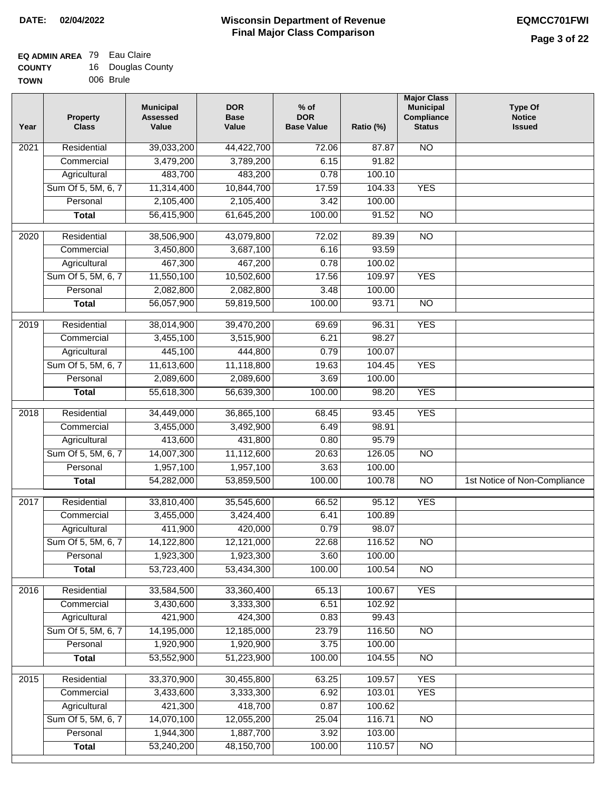#### **EQ ADMIN AREA** 79 Eau Claire **COUNTY** 16 Douglas County

| <b>TOWN</b> | 006 Brule |  |
|-------------|-----------|--|

| Year              | <b>Property</b><br><b>Class</b> | <b>Municipal</b><br><b>Assessed</b><br>Value | <b>DOR</b><br><b>Base</b><br>Value | $%$ of<br><b>DOR</b><br><b>Base Value</b> | Ratio (%) | <b>Major Class</b><br><b>Municipal</b><br>Compliance<br><b>Status</b> | <b>Type Of</b><br><b>Notice</b><br><b>Issued</b> |
|-------------------|---------------------------------|----------------------------------------------|------------------------------------|-------------------------------------------|-----------|-----------------------------------------------------------------------|--------------------------------------------------|
| $\overline{202}1$ | Residential                     | 39,033,200                                   | 44,422,700                         | 72.06                                     | 87.87     | $\overline{NO}$                                                       |                                                  |
|                   | Commercial                      | 3,479,200                                    | 3,789,200                          | 6.15                                      | 91.82     |                                                                       |                                                  |
|                   | Agricultural                    | 483,700                                      | 483,200                            | 0.78                                      | 100.10    |                                                                       |                                                  |
|                   | Sum Of 5, 5M, 6, 7              | 11,314,400                                   | 10,844,700                         | 17.59                                     | 104.33    | <b>YES</b>                                                            |                                                  |
|                   | Personal                        | 2,105,400                                    | 2,105,400                          | 3.42                                      | 100.00    |                                                                       |                                                  |
|                   | <b>Total</b>                    | 56,415,900                                   | 61,645,200                         | 100.00                                    | 91.52     | $\overline{NO}$                                                       |                                                  |
| $\overline{2020}$ | Residential                     | 38,506,900                                   | 43,079,800                         | 72.02                                     | 89.39     | $\overline{NO}$                                                       |                                                  |
|                   | Commercial                      | 3,450,800                                    | 3,687,100                          | 6.16                                      | 93.59     |                                                                       |                                                  |
|                   | Agricultural                    | 467,300                                      | 467,200                            | 0.78                                      | 100.02    |                                                                       |                                                  |
|                   | Sum Of 5, 5M, 6, 7              | 11,550,100                                   | 10,502,600                         | 17.56                                     | 109.97    | <b>YES</b>                                                            |                                                  |
|                   | Personal                        | 2,082,800                                    | 2,082,800                          | 3.48                                      | 100.00    |                                                                       |                                                  |
|                   | <b>Total</b>                    | 56,057,900                                   | 59,819,500                         | 100.00                                    | 93.71     | $\overline{NO}$                                                       |                                                  |
| 2019              | Residential                     | 38,014,900                                   | 39,470,200                         | 69.69                                     | 96.31     | <b>YES</b>                                                            |                                                  |
|                   | Commercial                      | 3,455,100                                    | 3,515,900                          | 6.21                                      | 98.27     |                                                                       |                                                  |
|                   | Agricultural                    | 445,100                                      | 444,800                            | 0.79                                      | 100.07    |                                                                       |                                                  |
|                   | Sum Of 5, 5M, 6, 7              | 11,613,600                                   | 11,118,800                         | 19.63                                     | 104.45    | <b>YES</b>                                                            |                                                  |
|                   | Personal                        | 2,089,600                                    | 2,089,600                          | 3.69                                      | 100.00    |                                                                       |                                                  |
|                   | <b>Total</b>                    | 55,618,300                                   | 56,639,300                         | 100.00                                    | 98.20     | <b>YES</b>                                                            |                                                  |
|                   |                                 |                                              |                                    |                                           |           |                                                                       |                                                  |
| 2018              | Residential                     | 34,449,000                                   | 36,865,100                         | 68.45                                     | 93.45     | <b>YES</b>                                                            |                                                  |
|                   | Commercial                      | 3,455,000                                    | 3,492,900                          | 6.49                                      | 98.91     |                                                                       |                                                  |
|                   | Agricultural                    | 413,600                                      | 431,800                            | 0.80                                      | 95.79     |                                                                       |                                                  |
|                   | Sum Of 5, 5M, 6, 7              | 14,007,300                                   | 11,112,600                         | 20.63                                     | 126.05    | $\overline{10}$                                                       |                                                  |
|                   | Personal                        | 1,957,100                                    | 1,957,100                          | 3.63                                      | 100.00    |                                                                       |                                                  |
|                   | <b>Total</b>                    | 54,282,000                                   | 53,859,500                         | 100.00                                    | 100.78    | $\overline{10}$                                                       | 1st Notice of Non-Compliance                     |
| $\overline{2017}$ | Residential                     | 33,810,400                                   | 35,545,600                         | 66.52                                     | 95.12     | <b>YES</b>                                                            |                                                  |
|                   | Commercial                      | 3,455,000                                    | 3,424,400                          | 6.41                                      | 100.89    |                                                                       |                                                  |
|                   | Agricultural                    | 411,900                                      | 420,000                            | 0.79                                      | 98.07     |                                                                       |                                                  |
|                   | Sum Of 5, 5M, 6, 7              | 14,122,800                                   | 12,121,000                         | 22.68                                     | 116.52    | <b>NO</b>                                                             |                                                  |
|                   | Personal                        | 1,923,300                                    | 1,923,300                          | 3.60                                      | 100.00    |                                                                       |                                                  |
|                   | <b>Total</b>                    | 53,723,400                                   | 53,434,300                         | 100.00                                    | 100.54    | <b>NO</b>                                                             |                                                  |
| 2016              | Residential                     | 33,584,500                                   | 33,360,400                         | 65.13                                     | 100.67    | <b>YES</b>                                                            |                                                  |
|                   | Commercial                      | 3,430,600                                    | 3,333,300                          | 6.51                                      | 102.92    |                                                                       |                                                  |
|                   | Agricultural                    | 421,900                                      | 424,300                            | 0.83                                      | 99.43     |                                                                       |                                                  |
|                   | Sum Of 5, 5M, 6, 7              | 14,195,000                                   | 12,185,000                         | 23.79                                     | 116.50    | $\overline{NO}$                                                       |                                                  |
|                   | Personal                        | 1,920,900                                    | 1,920,900                          | 3.75                                      | 100.00    |                                                                       |                                                  |
|                   | <b>Total</b>                    | 53,552,900                                   | 51,223,900                         | 100.00                                    | 104.55    | $\overline{NO}$                                                       |                                                  |
| 2015              | Residential                     | 33,370,900                                   | 30,455,800                         | 63.25                                     | 109.57    | <b>YES</b>                                                            |                                                  |
|                   | Commercial                      | 3,433,600                                    | 3,333,300                          | 6.92                                      | 103.01    | <b>YES</b>                                                            |                                                  |
|                   | Agricultural                    | 421,300                                      | 418,700                            | 0.87                                      | 100.62    |                                                                       |                                                  |
|                   | Sum Of 5, 5M, 6, 7              | 14,070,100                                   | 12,055,200                         | 25.04                                     | 116.71    | <b>NO</b>                                                             |                                                  |
|                   | Personal                        | 1,944,300                                    | 1,887,700                          | 3.92                                      | 103.00    |                                                                       |                                                  |
|                   | <b>Total</b>                    | 53,240,200                                   | 48,150,700                         | 100.00                                    | 110.57    | $\overline{NO}$                                                       |                                                  |
|                   |                                 |                                              |                                    |                                           |           |                                                                       |                                                  |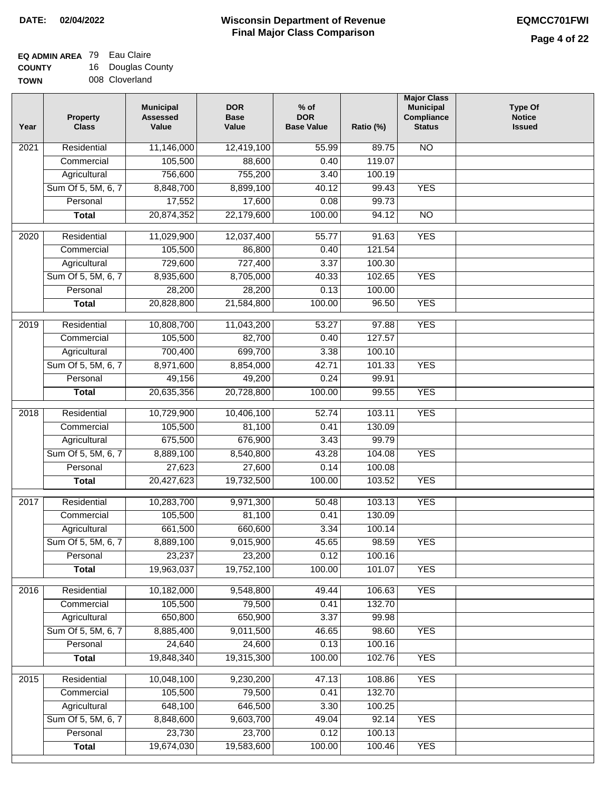## **EQ ADMIN AREA** 79 Eau Claire

**COUNTY TOWN** 16 Douglas County 008 Cloverland

| Year              | <b>Property</b><br><b>Class</b> | <b>Municipal</b><br><b>Assessed</b><br>Value | <b>DOR</b><br><b>Base</b><br>Value | $%$ of<br><b>DOR</b><br><b>Base Value</b> | Ratio (%) | <b>Major Class</b><br><b>Municipal</b><br>Compliance<br><b>Status</b> | <b>Type Of</b><br><b>Notice</b><br><b>Issued</b> |
|-------------------|---------------------------------|----------------------------------------------|------------------------------------|-------------------------------------------|-----------|-----------------------------------------------------------------------|--------------------------------------------------|
| 2021              | Residential                     | 11,146,000                                   | 12,419,100                         | 55.99                                     | 89.75     | $\overline{NO}$                                                       |                                                  |
|                   | Commercial                      | 105,500                                      | 88,600                             | 0.40                                      | 119.07    |                                                                       |                                                  |
|                   | Agricultural                    | 756,600                                      | 755,200                            | 3.40                                      | 100.19    |                                                                       |                                                  |
|                   | Sum Of 5, 5M, 6, 7              | 8,848,700                                    | 8,899,100                          | 40.12                                     | 99.43     | <b>YES</b>                                                            |                                                  |
|                   | Personal                        | 17,552                                       | 17,600                             | 0.08                                      | 99.73     |                                                                       |                                                  |
|                   | <b>Total</b>                    | 20,874,352                                   | 22,179,600                         | 100.00                                    | 94.12     | $\overline{NO}$                                                       |                                                  |
| $\overline{2020}$ | Residential                     | 11,029,900                                   | 12,037,400                         | 55.77                                     | 91.63     | <b>YES</b>                                                            |                                                  |
|                   | Commercial                      | 105,500                                      | 86,800                             | 0.40                                      | 121.54    |                                                                       |                                                  |
|                   | Agricultural                    | 729,600                                      | 727,400                            | 3.37                                      | 100.30    |                                                                       |                                                  |
|                   | Sum Of 5, 5M, 6, 7              | 8,935,600                                    | 8,705,000                          | 40.33                                     | 102.65    | <b>YES</b>                                                            |                                                  |
|                   | Personal                        | 28,200                                       | 28,200                             | 0.13                                      | 100.00    |                                                                       |                                                  |
|                   | <b>Total</b>                    | 20,828,800                                   | 21,584,800                         | 100.00                                    | 96.50     | <b>YES</b>                                                            |                                                  |
|                   |                                 |                                              |                                    |                                           |           |                                                                       |                                                  |
| 2019              | Residential                     | 10,808,700                                   | 11,043,200                         | 53.27                                     | 97.88     | <b>YES</b>                                                            |                                                  |
|                   | Commercial                      | 105,500                                      | 82,700                             | 0.40                                      | 127.57    |                                                                       |                                                  |
|                   | Agricultural                    | 700,400                                      | 699,700                            | 3.38                                      | 100.10    |                                                                       |                                                  |
|                   | Sum Of 5, 5M, 6, 7              | 8,971,600                                    | 8,854,000                          | 42.71                                     | 101.33    | <b>YES</b>                                                            |                                                  |
|                   | Personal                        | 49,156                                       | 49,200                             | 0.24                                      | 99.91     |                                                                       |                                                  |
|                   | <b>Total</b>                    | 20,635,356                                   | 20,728,800                         | 100.00                                    | 99.55     | <b>YES</b>                                                            |                                                  |
| 2018              | Residential                     | 10,729,900                                   | 10,406,100                         | 52.74                                     | 103.11    | <b>YES</b>                                                            |                                                  |
|                   | Commercial                      | 105,500                                      | 81,100                             | 0.41                                      | 130.09    |                                                                       |                                                  |
|                   | Agricultural                    | 675,500                                      | 676,900                            | 3.43                                      | 99.79     |                                                                       |                                                  |
|                   | Sum Of 5, 5M, 6, 7              | 8,889,100                                    | 8,540,800                          | 43.28                                     | 104.08    | <b>YES</b>                                                            |                                                  |
|                   | Personal                        | 27,623                                       | 27,600                             | 0.14                                      | 100.08    |                                                                       |                                                  |
|                   | <b>Total</b>                    | 20,427,623                                   | 19,732,500                         | 100.00                                    | 103.52    | <b>YES</b>                                                            |                                                  |
| 2017              | Residential                     | 10,283,700                                   | 9,971,300                          | 50.48                                     | 103.13    | <b>YES</b>                                                            |                                                  |
|                   | Commercial                      | 105,500                                      | 81,100                             | 0.41                                      | 130.09    |                                                                       |                                                  |
|                   | Agricultural                    | 661,500                                      | 660,600                            | 3.34                                      | 100.14    |                                                                       |                                                  |
|                   | Sum Of 5, 5M, 6, 7              | 8,889,100                                    | 9,015,900                          | 45.65                                     | 98.59     | <b>YES</b>                                                            |                                                  |
|                   | Personal                        | 23,237                                       | 23,200                             | 0.12                                      | 100.16    |                                                                       |                                                  |
|                   | <b>Total</b>                    | 19,963,037                                   | 19,752,100                         | 100.00                                    | 101.07    | <b>YES</b>                                                            |                                                  |
| 2016              | Residential                     | 10,182,000                                   | 9,548,800                          | 49.44                                     | 106.63    | <b>YES</b>                                                            |                                                  |
|                   | Commercial                      | 105,500                                      | 79,500                             | 0.41                                      | 132.70    |                                                                       |                                                  |
|                   | Agricultural                    | 650,800                                      | 650,900                            | 3.37                                      | 99.98     |                                                                       |                                                  |
|                   | Sum Of 5, 5M, 6, 7              | 8,885,400                                    | 9,011,500                          | 46.65                                     | 98.60     | <b>YES</b>                                                            |                                                  |
|                   | Personal                        | 24,640                                       | 24,600                             | 0.13                                      | 100.16    |                                                                       |                                                  |
|                   | <b>Total</b>                    | 19,848,340                                   | 19,315,300                         | 100.00                                    | 102.76    | <b>YES</b>                                                            |                                                  |
| 2015              | Residential                     | 10,048,100                                   | 9,230,200                          | 47.13                                     | 108.86    | <b>YES</b>                                                            |                                                  |
|                   | Commercial                      | 105,500                                      | 79,500                             | 0.41                                      | 132.70    |                                                                       |                                                  |
|                   | Agricultural                    | 648,100                                      | 646,500                            | 3.30                                      | 100.25    |                                                                       |                                                  |
|                   | Sum Of 5, 5M, 6, 7              | 8,848,600                                    | 9,603,700                          | 49.04                                     | 92.14     | <b>YES</b>                                                            |                                                  |
|                   | Personal                        | 23,730                                       | 23,700                             | 0.12                                      | 100.13    |                                                                       |                                                  |
|                   | <b>Total</b>                    | 19,674,030                                   | 19,583,600                         | 100.00                                    | 100.46    | <b>YES</b>                                                            |                                                  |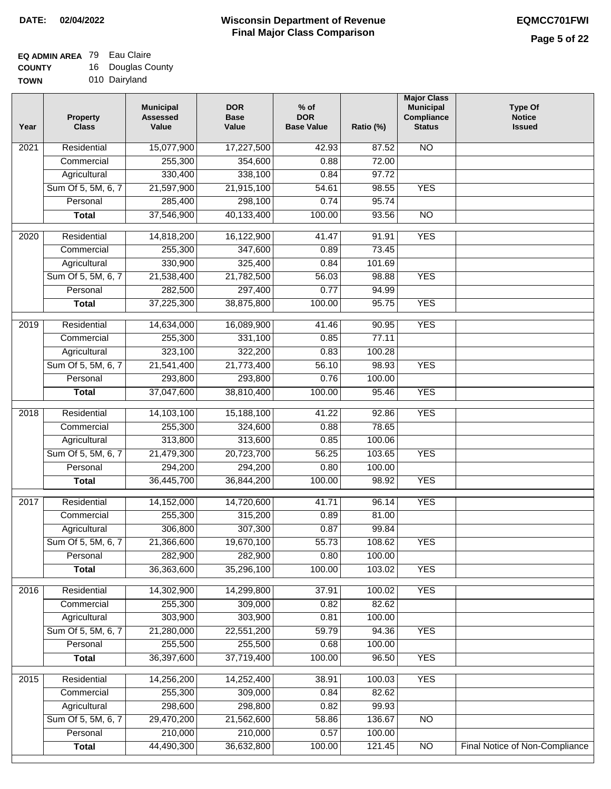### **Wisconsin Department of Revenue Final Major Class Comparison DATE: 02/04/2022 EQMCC701FWI**

٦

### **EQ ADMIN AREA** 79 Eau Claire

**COUNTY TOW** 16 Douglas County

| NIT | ιv | Duuyias U     |
|-----|----|---------------|
| 'N  |    | 010 Dairyland |

| Year              | <b>Property</b><br><b>Class</b> | <b>Municipal</b><br><b>Assessed</b><br>Value | <b>DOR</b><br><b>Base</b><br>Value | $%$ of<br><b>DOR</b><br><b>Base Value</b> | Ratio (%) | <b>Major Class</b><br><b>Municipal</b><br>Compliance<br><b>Status</b> | <b>Type Of</b><br><b>Notice</b><br><b>Issued</b> |
|-------------------|---------------------------------|----------------------------------------------|------------------------------------|-------------------------------------------|-----------|-----------------------------------------------------------------------|--------------------------------------------------|
| 2021              | Residential                     | 15,077,900                                   | 17,227,500                         | 42.93                                     | 87.52     | <b>NO</b>                                                             |                                                  |
|                   | Commercial                      | 255,300                                      | 354,600                            | 0.88                                      | 72.00     |                                                                       |                                                  |
|                   | Agricultural                    | 330,400                                      | 338,100                            | 0.84                                      | 97.72     |                                                                       |                                                  |
|                   | Sum Of 5, 5M, 6, 7              | 21,597,900                                   | 21,915,100                         | 54.61                                     | 98.55     | <b>YES</b>                                                            |                                                  |
|                   | Personal                        | 285,400                                      | 298,100                            | 0.74                                      | 95.74     |                                                                       |                                                  |
|                   | <b>Total</b>                    | 37,546,900                                   | 40,133,400                         | 100.00                                    | 93.56     | $\overline{NO}$                                                       |                                                  |
| $\overline{2020}$ | Residential                     | 14,818,200                                   | 16,122,900                         | 41.47                                     | 91.91     | <b>YES</b>                                                            |                                                  |
|                   | Commercial                      | 255,300                                      | 347,600                            | 0.89                                      | 73.45     |                                                                       |                                                  |
|                   | Agricultural                    | 330,900                                      | 325,400                            | 0.84                                      | 101.69    |                                                                       |                                                  |
|                   | Sum Of 5, 5M, 6, 7              | 21,538,400                                   | 21,782,500                         | 56.03                                     | 98.88     | <b>YES</b>                                                            |                                                  |
|                   | Personal                        | 282,500                                      | 297,400                            | 0.77                                      | 94.99     |                                                                       |                                                  |
|                   | <b>Total</b>                    | 37,225,300                                   | 38,875,800                         | 100.00                                    | 95.75     | <b>YES</b>                                                            |                                                  |
| $\frac{2019}{ }$  | Residential                     | 14,634,000                                   | 16,089,900                         | 41.46                                     | 90.95     | <b>YES</b>                                                            |                                                  |
|                   | Commercial                      | 255,300                                      | 331,100                            | 0.85                                      | 77.11     |                                                                       |                                                  |
|                   | Agricultural                    | 323,100                                      | 322,200                            | 0.83                                      | 100.28    |                                                                       |                                                  |
|                   | Sum Of 5, 5M, 6, 7              | 21,541,400                                   | 21,773,400                         | 56.10                                     | 98.93     | <b>YES</b>                                                            |                                                  |
|                   | Personal                        | 293,800                                      | 293,800                            | 0.76                                      | 100.00    |                                                                       |                                                  |
|                   | <b>Total</b>                    | 37,047,600                                   | 38,810,400                         | 100.00                                    | 95.46     | <b>YES</b>                                                            |                                                  |
|                   |                                 |                                              |                                    |                                           |           |                                                                       |                                                  |
| 2018              | Residential                     | 14,103,100                                   | 15,188,100                         | 41.22                                     | 92.86     | <b>YES</b>                                                            |                                                  |
|                   | Commercial                      | 255,300                                      | 324,600                            | 0.88                                      | 78.65     |                                                                       |                                                  |
|                   | Agricultural                    | 313,800                                      | 313,600                            | 0.85                                      | 100.06    |                                                                       |                                                  |
|                   | Sum Of 5, 5M, 6, 7              | 21,479,300                                   | 20,723,700                         | 56.25                                     | 103.65    | <b>YES</b>                                                            |                                                  |
|                   | Personal                        | 294,200                                      | 294,200                            | 0.80                                      | 100.00    | <b>YES</b>                                                            |                                                  |
|                   | <b>Total</b>                    | 36,445,700                                   | 36,844,200                         | 100.00                                    | 98.92     |                                                                       |                                                  |
| 2017              | Residential                     | 14,152,000                                   | 14,720,600                         | 41.71                                     | 96.14     | <b>YES</b>                                                            |                                                  |
|                   | Commercial                      | 255,300                                      | 315,200                            | 0.89                                      | 81.00     |                                                                       |                                                  |
|                   | Agricultural                    | 306,800                                      | 307,300                            | 0.87                                      | 99.84     |                                                                       |                                                  |
|                   | Sum Of 5, 5M, 6, 7              | 21,366,600                                   | 19,670,100                         | 55.73                                     | 108.62    | <b>YES</b>                                                            |                                                  |
|                   | Personal                        | 282,900                                      | 282,900                            | 0.80                                      | 100.00    |                                                                       |                                                  |
|                   | <b>Total</b>                    | 36,363,600                                   | 35,296,100                         | 100.00                                    | 103.02    | <b>YES</b>                                                            |                                                  |
| 2016              | Residential                     | 14,302,900                                   | 14,299,800                         | 37.91                                     | 100.02    | <b>YES</b>                                                            |                                                  |
|                   | Commercial                      | 255,300                                      | 309,000                            | 0.82                                      | 82.62     |                                                                       |                                                  |
|                   | Agricultural                    | 303,900                                      | 303,900                            | 0.81                                      | 100.00    |                                                                       |                                                  |
|                   | Sum Of 5, 5M, 6, 7              | 21,280,000                                   | 22,551,200                         | 59.79                                     | 94.36     | <b>YES</b>                                                            |                                                  |
|                   | Personal                        | 255,500                                      | 255,500                            | 0.68                                      | 100.00    |                                                                       |                                                  |
|                   | <b>Total</b>                    | 36,397,600                                   | 37,719,400                         | 100.00                                    | 96.50     | <b>YES</b>                                                            |                                                  |
| 2015              | Residential                     | 14,256,200                                   | 14,252,400                         | 38.91                                     | 100.03    | <b>YES</b>                                                            |                                                  |
|                   | Commercial                      | 255,300                                      | 309,000                            | 0.84                                      | 82.62     |                                                                       |                                                  |
|                   | Agricultural                    | 298,600                                      | 298,800                            | 0.82                                      | 99.93     |                                                                       |                                                  |
|                   | Sum Of 5, 5M, 6, 7              | 29,470,200                                   | 21,562,600                         | 58.86                                     | 136.67    | N <sub>O</sub>                                                        |                                                  |
|                   | Personal                        | 210,000                                      | 210,000                            | 0.57                                      | 100.00    |                                                                       |                                                  |
|                   | <b>Total</b>                    | 44,490,300                                   | 36,632,800                         | 100.00                                    | 121.45    | $\overline{NO}$                                                       | Final Notice of Non-Compliance                   |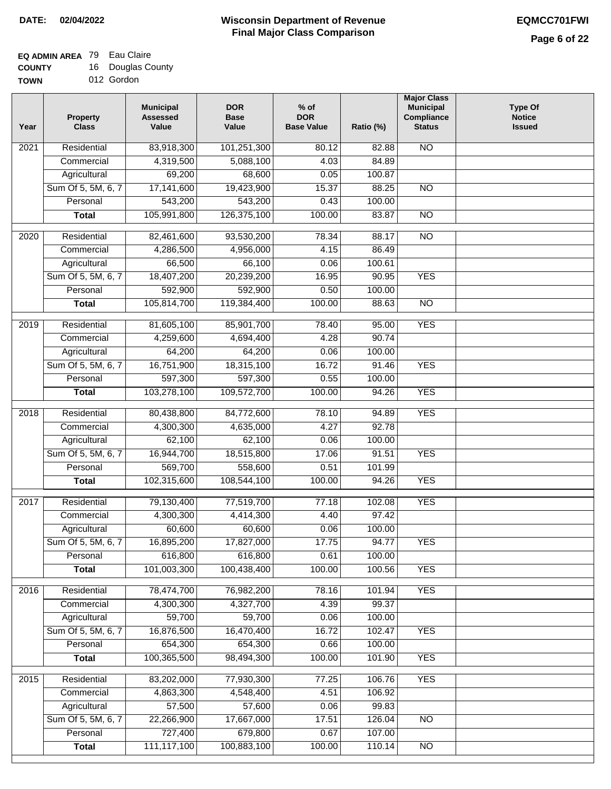### **EQ ADMIN AREA** 79 Eau Claire

**COUNTY** 16 Douglas County

**TOWN** 012 Gordon

| Year              | <b>Property</b><br><b>Class</b> | <b>Municipal</b><br><b>Assessed</b><br>Value | <b>DOR</b><br><b>Base</b><br>Value | % of<br><b>DOR</b><br><b>Base Value</b> | Ratio (%) | <b>Major Class</b><br><b>Municipal</b><br>Compliance<br><b>Status</b> | <b>Type Of</b><br><b>Notice</b><br><b>Issued</b> |
|-------------------|---------------------------------|----------------------------------------------|------------------------------------|-----------------------------------------|-----------|-----------------------------------------------------------------------|--------------------------------------------------|
| $\overline{202}1$ | Residential                     | 83,918,300                                   | 101,251,300                        | 80.12                                   | 82.88     | $\overline{NO}$                                                       |                                                  |
|                   | Commercial                      | 4,319,500                                    | 5,088,100                          | 4.03                                    | 84.89     |                                                                       |                                                  |
|                   | Agricultural                    | 69,200                                       | 68,600                             | 0.05                                    | 100.87    |                                                                       |                                                  |
|                   | Sum Of 5, 5M, 6, 7              | 17,141,600                                   | 19,423,900                         | 15.37                                   | 88.25     | N <sub>O</sub>                                                        |                                                  |
|                   | Personal                        | 543,200                                      | 543,200                            | 0.43                                    | 100.00    |                                                                       |                                                  |
|                   | <b>Total</b>                    | 105,991,800                                  | 126,375,100                        | 100.00                                  | 83.87     | $\overline{NO}$                                                       |                                                  |
| $\overline{2020}$ | Residential                     | 82,461,600                                   | 93,530,200                         | 78.34                                   | 88.17     | $\overline{NO}$                                                       |                                                  |
|                   | Commercial                      | 4,286,500                                    | 4,956,000                          | 4.15                                    | 86.49     |                                                                       |                                                  |
|                   | Agricultural                    | 66,500                                       | 66,100                             | 0.06                                    | 100.61    |                                                                       |                                                  |
|                   | Sum Of 5, 5M, 6, 7              | 18,407,200                                   | 20,239,200                         | 16.95                                   | 90.95     | <b>YES</b>                                                            |                                                  |
|                   | Personal                        | 592,900                                      | 592,900                            | 0.50                                    | 100.00    |                                                                       |                                                  |
|                   | <b>Total</b>                    | 105,814,700                                  | 119,384,400                        | 100.00                                  | 88.63     | $\overline{NO}$                                                       |                                                  |
| 2019              | Residential                     | 81,605,100                                   | 85,901,700                         | 78.40                                   | 95.00     | <b>YES</b>                                                            |                                                  |
|                   | Commercial                      | 4,259,600                                    | 4,694,400                          | 4.28                                    | 90.74     |                                                                       |                                                  |
|                   | Agricultural                    | 64,200                                       | 64,200                             | 0.06                                    | 100.00    |                                                                       |                                                  |
|                   | Sum Of 5, 5M, 6, 7              | 16,751,900                                   | 18,315,100                         | 16.72                                   | 91.46     | <b>YES</b>                                                            |                                                  |
|                   | Personal                        | 597,300                                      | 597,300                            | 0.55                                    | 100.00    |                                                                       |                                                  |
|                   | <b>Total</b>                    | 103,278,100                                  | 109,572,700                        | 100.00                                  | 94.26     | <b>YES</b>                                                            |                                                  |
| 2018              | Residential                     | 80,438,800                                   | 84,772,600                         | 78.10                                   | 94.89     | <b>YES</b>                                                            |                                                  |
|                   | Commercial                      | 4,300,300                                    | 4,635,000                          | 4.27                                    | 92.78     |                                                                       |                                                  |
|                   | Agricultural                    | 62,100                                       | 62,100                             | 0.06                                    | 100.00    |                                                                       |                                                  |
|                   | Sum Of 5, 5M, 6, 7              | 16,944,700                                   | 18,515,800                         | 17.06                                   | 91.51     | <b>YES</b>                                                            |                                                  |
|                   | Personal                        | 569,700                                      | 558,600                            | 0.51                                    | 101.99    |                                                                       |                                                  |
|                   | <b>Total</b>                    | 102,315,600                                  | 108,544,100                        | 100.00                                  | 94.26     | <b>YES</b>                                                            |                                                  |
| 2017              | Residential                     | 79,130,400                                   | 77,519,700                         | 77.18                                   | 102.08    | <b>YES</b>                                                            |                                                  |
|                   | Commercial                      | 4,300,300                                    | 4,414,300                          | 4.40                                    | 97.42     |                                                                       |                                                  |
|                   | Agricultural                    | 60,600                                       | 60,600                             | 0.06                                    | 100.00    |                                                                       |                                                  |
|                   | Sum Of 5, 5M, 6, 7              | 16,895,200                                   | 17,827,000                         | 17.75                                   | 94.77     | <b>YES</b>                                                            |                                                  |
|                   | Personal                        | 616,800                                      | 616,800                            | 0.61                                    | 100.00    |                                                                       |                                                  |
|                   | <b>Total</b>                    | 101,003,300                                  | 100,438,400                        | 100.00                                  | 100.56    | <b>YES</b>                                                            |                                                  |
| 2016              | Residential                     | 78,474,700                                   | 76,982,200                         | 78.16                                   | 101.94    | <b>YES</b>                                                            |                                                  |
|                   | Commercial                      | 4,300,300                                    | 4,327,700                          | 4.39                                    | 99.37     |                                                                       |                                                  |
|                   | Agricultural                    | 59,700                                       | 59,700                             | 0.06                                    | 100.00    |                                                                       |                                                  |
|                   | Sum Of 5, 5M, 6, 7              | 16,876,500                                   | 16,470,400                         | 16.72                                   | 102.47    | <b>YES</b>                                                            |                                                  |
|                   | Personal                        | 654,300                                      | 654,300                            | 0.66                                    | 100.00    |                                                                       |                                                  |
|                   | <b>Total</b>                    | 100,365,500                                  | 98,494,300                         | 100.00                                  | 101.90    | <b>YES</b>                                                            |                                                  |
| 2015              | Residential                     | 83,202,000                                   | 77,930,300                         | 77.25                                   | 106.76    | <b>YES</b>                                                            |                                                  |
|                   | Commercial                      | 4,863,300                                    | 4,548,400                          | 4.51                                    | 106.92    |                                                                       |                                                  |
|                   | Agricultural                    | 57,500                                       | 57,600                             | 0.06                                    | 99.83     |                                                                       |                                                  |
|                   | Sum Of 5, 5M, 6, 7              | 22,266,900                                   | 17,667,000                         | 17.51                                   | 126.04    | $\overline{NO}$                                                       |                                                  |
|                   | Personal                        | 727,400                                      | 679,800                            | 0.67                                    | 107.00    |                                                                       |                                                  |
|                   | <b>Total</b>                    | 111,117,100                                  | 100,883,100                        | 100.00                                  | 110.14    | N <sub>O</sub>                                                        |                                                  |
|                   |                                 |                                              |                                    |                                         |           |                                                                       |                                                  |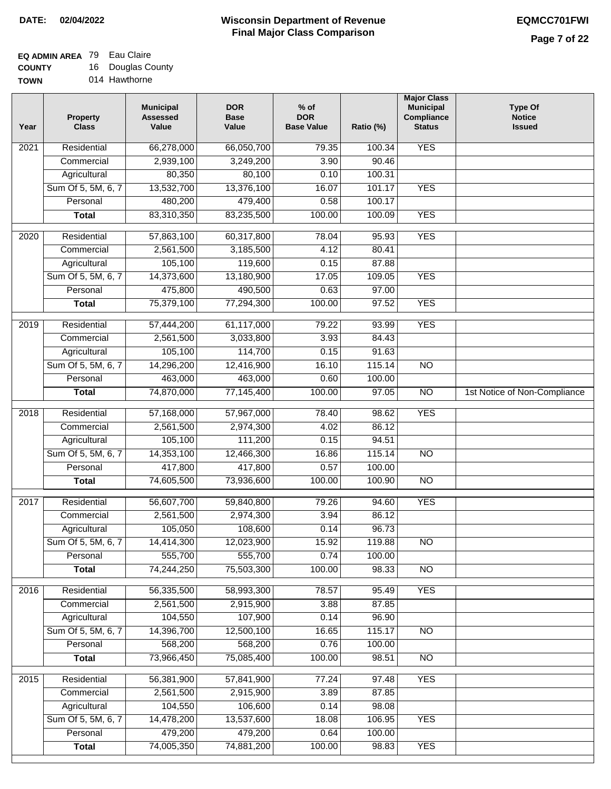### **Wisconsin Department of Revenue Final Major Class Comparison DATE: 02/04/2022 EQMCC701FWI**

### **EQ ADMIN AREA** 79 Eau Claire

**COUNTY TOW** 16 Douglas County

| 'N | 014 Hawthorne |
|----|---------------|
|    |               |

| 66,278,000<br><b>YES</b><br>Residential<br>66,050,700<br>79.35<br>100.34<br>2021<br>2,939,100<br>3,249,200<br>3.90<br>90.46<br>Commercial<br>80,350<br>80,100<br>100.31<br>Agricultural<br>0.10<br><b>YES</b><br>Sum Of 5, 5M, 6, 7<br>13,532,700<br>13,376,100<br>16.07<br>101.17 |  |
|------------------------------------------------------------------------------------------------------------------------------------------------------------------------------------------------------------------------------------------------------------------------------------|--|
|                                                                                                                                                                                                                                                                                    |  |
|                                                                                                                                                                                                                                                                                    |  |
|                                                                                                                                                                                                                                                                                    |  |
|                                                                                                                                                                                                                                                                                    |  |
| 480,200<br>479,400<br>Personal<br>0.58<br>100.17                                                                                                                                                                                                                                   |  |
| 83,310,350<br>83,235,500<br>100.00<br><b>YES</b><br>100.09<br><b>Total</b>                                                                                                                                                                                                         |  |
| <b>YES</b><br>$\frac{1}{2020}$<br>Residential<br>57,863,100<br>60,317,800<br>95.93<br>78.04                                                                                                                                                                                        |  |
| 80.41<br>Commercial<br>2,561,500<br>3,185,500<br>4.12                                                                                                                                                                                                                              |  |
| 105,100<br>Agricultural<br>119,600<br>0.15<br>87.88                                                                                                                                                                                                                                |  |
| Sum Of 5, 5M, 6, 7<br>14,373,600<br>13,180,900<br>17.05<br>109.05<br><b>YES</b>                                                                                                                                                                                                    |  |
| 475,800<br>490,500<br>Personal<br>0.63<br>97.00                                                                                                                                                                                                                                    |  |
| 75,379,100<br><b>YES</b><br><b>Total</b><br>77,294,300<br>100.00<br>97.52                                                                                                                                                                                                          |  |
| <b>YES</b><br>$\frac{1}{2019}$<br>Residential<br>57,444,200<br>61,117,000<br>79.22<br>93.99                                                                                                                                                                                        |  |
| 3.93<br>Commercial<br>2,561,500<br>3,033,800<br>84.43                                                                                                                                                                                                                              |  |
| 105,100<br>114,700<br>91.63<br>Agricultural<br>0.15                                                                                                                                                                                                                                |  |
| Sum Of 5, 5M, 6, 7<br>14,296,200<br>12,416,900<br>115.14<br>$\overline{NO}$<br>16.10                                                                                                                                                                                               |  |
| 463,000<br>0.60<br>Personal<br>463,000<br>100.00                                                                                                                                                                                                                                   |  |
| 74,870,000<br>1st Notice of Non-Compliance<br>77,145,400<br>100.00<br>97.05<br>$\overline{NO}$<br><b>Total</b>                                                                                                                                                                     |  |
|                                                                                                                                                                                                                                                                                    |  |
| 57,168,000<br><b>YES</b><br>2018<br>Residential<br>57,967,000<br>78.40<br>98.62                                                                                                                                                                                                    |  |
| Commercial<br>2,561,500<br>2,974,300<br>4.02<br>86.12<br>105,100<br>111,200<br>0.15<br>94.51                                                                                                                                                                                       |  |
| Agricultural<br>Sum Of 5, 5M, 6, 7<br>14,353,100<br>16.86<br>115.14<br><b>NO</b><br>12,466,300                                                                                                                                                                                     |  |
| 0.57<br>417,800<br>417,800<br>100.00<br>Personal                                                                                                                                                                                                                                   |  |
| 74,605,500<br>73,936,600<br>100.00<br>100.90<br>$\overline{NO}$<br><b>Total</b>                                                                                                                                                                                                    |  |
|                                                                                                                                                                                                                                                                                    |  |
| <b>YES</b><br>Residential<br>56,607,700<br>59,840,800<br>79.26<br>2017<br>94.60                                                                                                                                                                                                    |  |
| 2,561,500<br>2,974,300<br>3.94<br>86.12<br>Commercial                                                                                                                                                                                                                              |  |
| 105,050<br>96.73<br>108,600<br>0.14<br>Agricultural                                                                                                                                                                                                                                |  |
| Sum Of 5, 5M, 6, 7<br>14,414,300<br>12,023,900<br>15.92<br>119.88<br>$\overline{NO}$                                                                                                                                                                                               |  |
| 555,700<br>555,700<br>Personal<br>0.74<br>100.00                                                                                                                                                                                                                                   |  |
| 74,244,250<br>75,503,300<br>100.00<br>NO<br>98.33<br><b>Total</b>                                                                                                                                                                                                                  |  |
| <b>YES</b><br>2016<br>Residential<br>56,335,500<br>58,993,300<br>78.57<br>95.49                                                                                                                                                                                                    |  |
| Commercial<br>2,561,500<br>2,915,900<br>3.88<br>87.85                                                                                                                                                                                                                              |  |
| 104,550<br>107,900<br>0.14<br>96.90<br>Agricultural                                                                                                                                                                                                                                |  |
| Sum Of 5, 5M, 6, 7<br>14,396,700<br>12,500,100<br>16.65<br>115.17<br>N <sub>O</sub>                                                                                                                                                                                                |  |
| 568,200<br>568,200<br>Personal<br>0.76<br>100.00                                                                                                                                                                                                                                   |  |
| 73,966,450<br><b>Total</b><br>75,085,400<br>100.00<br>98.51<br>$\overline{NO}$                                                                                                                                                                                                     |  |
| 2015<br>56,381,900<br>57,841,900<br><b>YES</b><br>Residential<br>77.24<br>97.48                                                                                                                                                                                                    |  |
| 2,915,900<br>87.85<br>Commercial<br>2,561,500<br>3.89                                                                                                                                                                                                                              |  |
| 104,550<br>106,600<br>0.14<br>98.08<br>Agricultural                                                                                                                                                                                                                                |  |
| Sum Of 5, 5M, 6, 7<br>14,478,200<br>13,537,600<br>18.08<br>106.95<br><b>YES</b>                                                                                                                                                                                                    |  |
| 479,200<br>Personal<br>479,200<br>0.64<br>100.00                                                                                                                                                                                                                                   |  |
| 74,005,350<br>74,881,200<br>100.00<br><b>YES</b><br>98.83<br><b>Total</b>                                                                                                                                                                                                          |  |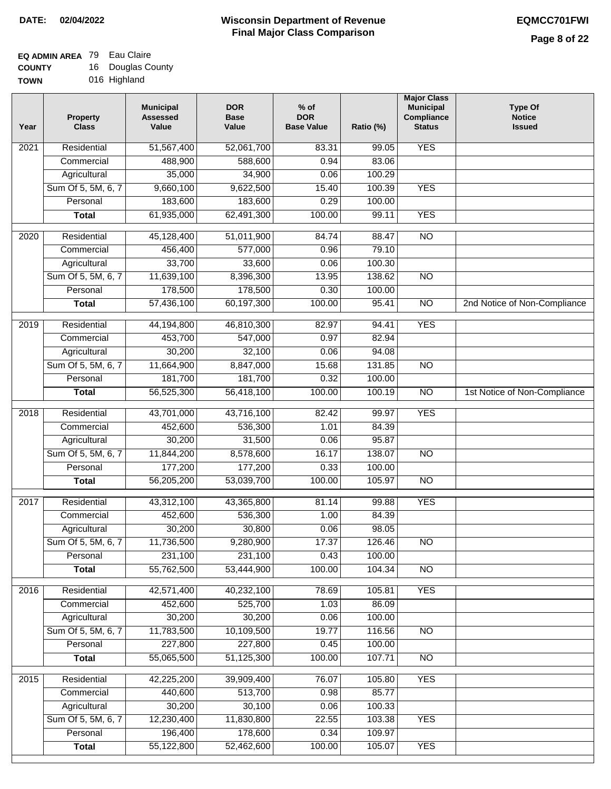## **EQ ADMIN AREA** 79 Eau Claire

**COUNTY TOWN** 16 Douglas County 016 Highland

| Year | <b>Property</b><br><b>Class</b> | <b>Municipal</b><br><b>Assessed</b><br>Value | <b>DOR</b><br><b>Base</b><br>Value | $%$ of<br><b>DOR</b><br><b>Base Value</b> | Ratio (%) | <b>Major Class</b><br><b>Municipal</b><br>Compliance<br><b>Status</b> | <b>Type Of</b><br><b>Notice</b><br><b>Issued</b> |
|------|---------------------------------|----------------------------------------------|------------------------------------|-------------------------------------------|-----------|-----------------------------------------------------------------------|--------------------------------------------------|
| 2021 | Residential                     | 51,567,400                                   | 52,061,700                         | 83.31                                     | 99.05     | <b>YES</b>                                                            |                                                  |
|      | Commercial                      | 488,900                                      | 588,600                            | 0.94                                      | 83.06     |                                                                       |                                                  |
|      | Agricultural                    | 35,000                                       | 34,900                             | 0.06                                      | 100.29    |                                                                       |                                                  |
|      | Sum Of 5, 5M, 6, 7              | 9,660,100                                    | 9,622,500                          | 15.40                                     | 100.39    | <b>YES</b>                                                            |                                                  |
|      | Personal                        | 183,600                                      | 183,600                            | 0.29                                      | 100.00    |                                                                       |                                                  |
|      | <b>Total</b>                    | 61,935,000                                   | 62,491,300                         | 100.00                                    | 99.11     | <b>YES</b>                                                            |                                                  |
| 2020 | Residential                     | 45,128,400                                   | 51,011,900                         | 84.74                                     | 88.47     | $\overline{NO}$                                                       |                                                  |
|      | Commercial                      | 456,400                                      | 577,000                            | 0.96                                      | 79.10     |                                                                       |                                                  |
|      | Agricultural                    | 33,700                                       | 33,600                             | 0.06                                      | 100.30    |                                                                       |                                                  |
|      | Sum Of 5, 5M, 6, 7              | 11,639,100                                   | 8,396,300                          | 13.95                                     | 138.62    | $\overline{NO}$                                                       |                                                  |
|      | Personal                        | 178,500                                      | 178,500                            | 0.30                                      | 100.00    |                                                                       |                                                  |
|      | <b>Total</b>                    | 57,436,100                                   | 60,197,300                         | 100.00                                    | 95.41     | $\overline{NO}$                                                       | 2nd Notice of Non-Compliance                     |
|      |                                 |                                              |                                    |                                           |           |                                                                       |                                                  |
| 2019 | Residential                     | 44,194,800                                   | 46,810,300                         | 82.97                                     | 94.41     | <b>YES</b>                                                            |                                                  |
|      | Commercial                      | 453,700                                      | 547,000                            | 0.97                                      | 82.94     |                                                                       |                                                  |
|      | Agricultural                    | 30,200                                       | 32,100                             | 0.06                                      | 94.08     |                                                                       |                                                  |
|      | Sum Of 5, 5M, 6, 7              | 11,664,900                                   | 8,847,000                          | 15.68                                     | 131.85    | $\overline{NO}$                                                       |                                                  |
|      | Personal                        | 181,700                                      | 181,700                            | 0.32                                      | 100.00    |                                                                       |                                                  |
|      | <b>Total</b>                    | 56,525,300                                   | 56,418,100                         | 100.00                                    | 100.19    | $\overline{NO}$                                                       | 1st Notice of Non-Compliance                     |
| 2018 | Residential                     | 43,701,000                                   | 43,716,100                         | 82.42                                     | 99.97     | <b>YES</b>                                                            |                                                  |
|      | Commercial                      | 452,600                                      | 536,300                            | 1.01                                      | 84.39     |                                                                       |                                                  |
|      | Agricultural                    | 30,200                                       | 31,500                             | 0.06                                      | 95.87     |                                                                       |                                                  |
|      | Sum Of 5, 5M, 6, 7              | 11,844,200                                   | 8,578,600                          | 16.17                                     | 138.07    | <b>NO</b>                                                             |                                                  |
|      | Personal                        | 177,200                                      | 177,200                            | 0.33                                      | 100.00    |                                                                       |                                                  |
|      | <b>Total</b>                    | 56,205,200                                   | 53,039,700                         | 100.00                                    | 105.97    | <b>NO</b>                                                             |                                                  |
| 2017 | Residential                     | 43,312,100                                   | 43,365,800                         | 81.14                                     | 99.88     | <b>YES</b>                                                            |                                                  |
|      | Commercial                      | 452,600                                      | 536,300                            | 1.00                                      | 84.39     |                                                                       |                                                  |
|      | Agricultural                    | 30,200                                       | 30,800                             | 0.06                                      | 98.05     |                                                                       |                                                  |
|      | Sum Of 5, 5M, 6, 7              | 11,736,500                                   | 9,280,900                          | 17.37                                     | 126.46    | NO                                                                    |                                                  |
|      | Personal                        | 231,100                                      | 231,100                            | 0.43                                      | 100.00    |                                                                       |                                                  |
|      | <b>Total</b>                    | 55,762,500                                   | 53,444,900                         | 100.00                                    | 104.34    | <b>NO</b>                                                             |                                                  |
| 2016 | Residential                     | 42,571,400                                   | 40,232,100                         | 78.69                                     | 105.81    | <b>YES</b>                                                            |                                                  |
|      | Commercial                      | 452,600                                      | 525,700                            | 1.03                                      | 86.09     |                                                                       |                                                  |
|      | Agricultural                    | 30,200                                       | 30,200                             | 0.06                                      | 100.00    |                                                                       |                                                  |
|      | Sum Of 5, 5M, 6, 7              | 11,783,500                                   | 10,109,500                         | 19.77                                     | 116.56    | N <sub>O</sub>                                                        |                                                  |
|      | Personal                        | 227,800                                      | 227,800                            | 0.45                                      | 100.00    |                                                                       |                                                  |
|      | <b>Total</b>                    | 55,065,500                                   | 51,125,300                         | 100.00                                    | 107.71    | N <sub>O</sub>                                                        |                                                  |
|      |                                 |                                              |                                    |                                           |           |                                                                       |                                                  |
| 2015 | Residential                     | 42,225,200                                   | 39,909,400                         | 76.07                                     | 105.80    | <b>YES</b>                                                            |                                                  |
|      | Commercial                      | 440,600                                      | 513,700                            | 0.98                                      | 85.77     |                                                                       |                                                  |
|      | Agricultural                    | 30,200                                       | 30,100                             | 0.06                                      | 100.33    |                                                                       |                                                  |
|      | Sum Of 5, 5M, 6, 7              | 12,230,400                                   | 11,830,800                         | 22.55                                     | 103.38    | <b>YES</b>                                                            |                                                  |
|      | Personal                        | 196,400                                      | 178,600                            | 0.34                                      | 109.97    |                                                                       |                                                  |
|      | <b>Total</b>                    | 55,122,800                                   | 52,462,600                         | 100.00                                    | 105.07    | <b>YES</b>                                                            |                                                  |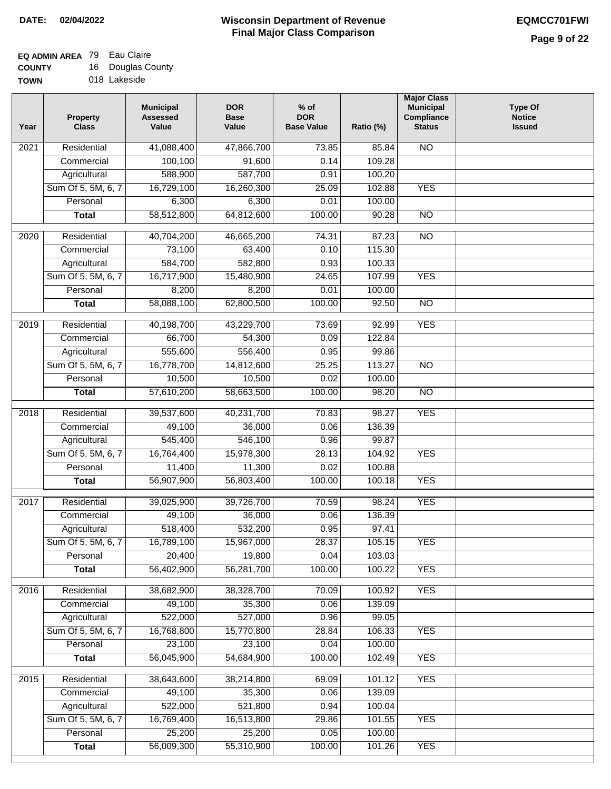## **EQ ADMIN AREA** 79 Eau Claire

**COUNTY TOWN** 16 Douglas County 018 Lakeside

| Year | <b>Property</b><br><b>Class</b> | <b>Municipal</b><br><b>Assessed</b><br>Value | <b>DOR</b><br><b>Base</b><br>Value | $%$ of<br><b>DOR</b><br><b>Base Value</b> | Ratio (%) | <b>Major Class</b><br><b>Municipal</b><br>Compliance<br><b>Status</b> | <b>Type Of</b><br><b>Notice</b><br><b>Issued</b> |
|------|---------------------------------|----------------------------------------------|------------------------------------|-------------------------------------------|-----------|-----------------------------------------------------------------------|--------------------------------------------------|
| 2021 | Residential                     | 41,088,400                                   | 47,866,700                         | 73.85                                     | 85.84     | N <sub>O</sub>                                                        |                                                  |
|      | Commercial                      | 100,100                                      | 91,600                             | 0.14                                      | 109.28    |                                                                       |                                                  |
|      | Agricultural                    | 588,900                                      | 587,700                            | 0.91                                      | 100.20    |                                                                       |                                                  |
|      | Sum Of 5, 5M, 6, 7              | 16,729,100                                   | 16,260,300                         | 25.09                                     | 102.88    | <b>YES</b>                                                            |                                                  |
|      | Personal                        | 6,300                                        | 6,300                              | 0.01                                      | 100.00    |                                                                       |                                                  |
|      | <b>Total</b>                    | 58,512,800                                   | 64,812,600                         | 100.00                                    | 90.28     | $\overline{NO}$                                                       |                                                  |
| 2020 | Residential                     | 40,704,200                                   | 46,665,200                         | 74.31                                     | 87.23     | $\overline{NO}$                                                       |                                                  |
|      | Commercial                      | 73,100                                       | 63,400                             | 0.10                                      | 115.30    |                                                                       |                                                  |
|      | Agricultural                    | 584,700                                      | 582,800                            | 0.93                                      | 100.33    |                                                                       |                                                  |
|      | Sum Of 5, 5M, 6, 7              | 16,717,900                                   | 15,480,900                         | 24.65                                     | 107.99    | <b>YES</b>                                                            |                                                  |
|      | Personal                        | 8,200                                        | 8,200                              | 0.01                                      | 100.00    |                                                                       |                                                  |
|      | <b>Total</b>                    | 58,088,100                                   | 62,800,500                         | 100.00                                    | 92.50     | $\overline{NO}$                                                       |                                                  |
|      |                                 |                                              |                                    |                                           |           |                                                                       |                                                  |
| 2019 | Residential                     | 40,198,700                                   | 43,229,700                         | 73.69                                     | 92.99     | <b>YES</b>                                                            |                                                  |
|      | Commercial                      | 66,700                                       | 54,300                             | 0.09                                      | 122.84    |                                                                       |                                                  |
|      | Agricultural                    | 555,600                                      | 556,400                            | 0.95                                      | 99.86     |                                                                       |                                                  |
|      | Sum Of 5, 5M, 6, 7              | 16,778,700                                   | 14,812,600                         | 25.25                                     | 113.27    | <b>NO</b>                                                             |                                                  |
|      | Personal                        | 10,500                                       | 10,500                             | 0.02                                      | 100.00    |                                                                       |                                                  |
|      | <b>Total</b>                    | 57,610,200                                   | 58,663,500                         | 100.00                                    | 98.20     | $\overline{NO}$                                                       |                                                  |
| 2018 | Residential                     | 39,537,600                                   | 40,231,700                         | 70.83                                     | 98.27     | <b>YES</b>                                                            |                                                  |
|      | Commercial                      | 49,100                                       | 36,000                             | 0.06                                      | 136.39    |                                                                       |                                                  |
|      | Agricultural                    | 545,400                                      | 546,100                            | 0.96                                      | 99.87     |                                                                       |                                                  |
|      | Sum Of 5, 5M, 6, 7              | 16,764,400                                   | 15,978,300                         | 28.13                                     | 104.92    | <b>YES</b>                                                            |                                                  |
|      | Personal                        | 11,400                                       | 11,300                             | 0.02                                      | 100.88    |                                                                       |                                                  |
|      | <b>Total</b>                    | 56,907,900                                   | 56,803,400                         | 100.00                                    | 100.18    | <b>YES</b>                                                            |                                                  |
| 2017 | Residential                     | 39,025,900                                   | 39,726,700                         | 70.59                                     | 98.24     | <b>YES</b>                                                            |                                                  |
|      | Commercial                      | 49,100                                       | 36,000                             | 0.06                                      | 136.39    |                                                                       |                                                  |
|      | Agricultural                    | 518,400                                      | 532,200                            | 0.95                                      | 97.41     |                                                                       |                                                  |
|      | Sum Of 5, 5M, 6, 7              | 16,789,100                                   | 15,967,000                         | 28.37                                     | 105.15    | <b>YES</b>                                                            |                                                  |
|      | Personal                        | 20,400                                       | 19,800                             | 0.04                                      | 103.03    |                                                                       |                                                  |
|      | <b>Total</b>                    | 56,402,900                                   | 56,281,700                         | 100.00                                    | 100.22    | <b>YES</b>                                                            |                                                  |
|      |                                 |                                              |                                    |                                           |           |                                                                       |                                                  |
| 2016 | Residential                     | 38,682,900                                   | 38,328,700                         | 70.09                                     | 100.92    | <b>YES</b>                                                            |                                                  |
|      | Commercial                      | 49,100                                       | 35,300                             | 0.06                                      | 139.09    |                                                                       |                                                  |
|      | Agricultural                    | 522,000                                      | 527,000                            | 0.96                                      | 99.05     |                                                                       |                                                  |
|      | Sum Of 5, 5M, 6, 7              | 16,768,800                                   | 15,770,800                         | 28.84                                     | 106.33    | <b>YES</b>                                                            |                                                  |
|      | Personal                        | 23,100                                       | 23,100                             | 0.04                                      | 100.00    |                                                                       |                                                  |
|      | <b>Total</b>                    | 56,045,900                                   | 54,684,900                         | 100.00                                    | 102.49    | <b>YES</b>                                                            |                                                  |
| 2015 | Residential                     | 38,643,600                                   | 38,214,800                         | 69.09                                     | 101.12    | <b>YES</b>                                                            |                                                  |
|      | Commercial                      | 49,100                                       | 35,300                             | 0.06                                      | 139.09    |                                                                       |                                                  |
|      | Agricultural                    | 522,000                                      | 521,800                            | 0.94                                      | 100.04    |                                                                       |                                                  |
|      | Sum Of 5, 5M, 6, 7              | 16,769,400                                   | 16,513,800                         | 29.86                                     | 101.55    | <b>YES</b>                                                            |                                                  |
|      | Personal                        | 25,200                                       | 25,200                             | 0.05                                      | 100.00    |                                                                       |                                                  |
|      | <b>Total</b>                    | 56,009,300                                   | 55,310,900                         | 100.00                                    | 101.26    | <b>YES</b>                                                            |                                                  |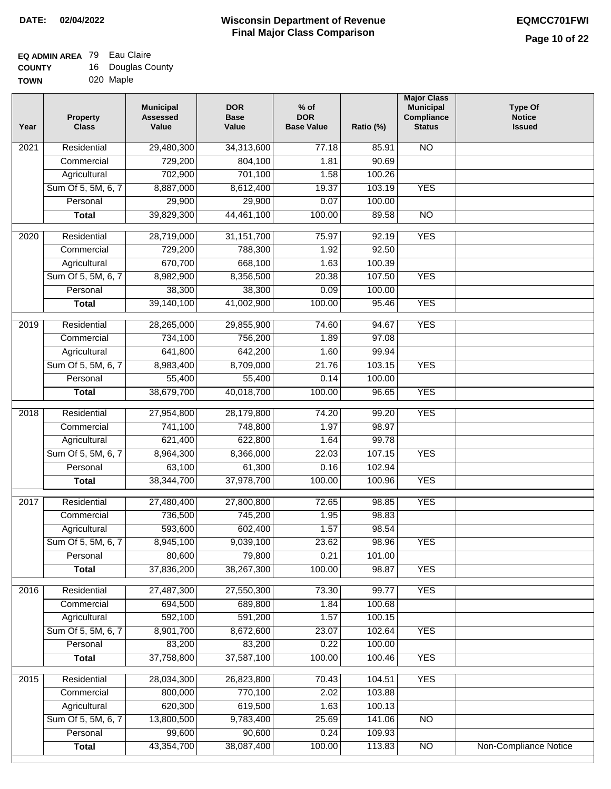### **EQ ADMIN AREA** 79 Eau Claire

| <b>COUNTY</b> | 16 Douglas County |
|---------------|-------------------|
| <b>TOWN</b>   | 020 Maple         |

| Year              | <b>Property</b><br><b>Class</b> | <b>Municipal</b><br><b>Assessed</b><br>Value | <b>DOR</b><br><b>Base</b><br>Value | $%$ of<br><b>DOR</b><br><b>Base Value</b> | Ratio (%) | <b>Major Class</b><br><b>Municipal</b><br>Compliance<br><b>Status</b> | <b>Type Of</b><br><b>Notice</b><br><b>Issued</b> |
|-------------------|---------------------------------|----------------------------------------------|------------------------------------|-------------------------------------------|-----------|-----------------------------------------------------------------------|--------------------------------------------------|
| 2021              | Residential                     | 29,480,300                                   | 34,313,600                         | 77.18                                     | 85.91     | <b>NO</b>                                                             |                                                  |
|                   | Commercial                      | 729,200                                      | 804,100                            | 1.81                                      | 90.69     |                                                                       |                                                  |
|                   | Agricultural                    | 702,900                                      | 701,100                            | 1.58                                      | 100.26    |                                                                       |                                                  |
|                   | Sum Of 5, 5M, 6, 7              | 8,887,000                                    | 8,612,400                          | 19.37                                     | 103.19    | <b>YES</b>                                                            |                                                  |
|                   | Personal                        | 29,900                                       | 29,900                             | 0.07                                      | 100.00    |                                                                       |                                                  |
|                   | Total                           | 39,829,300                                   | 44,461,100                         | 100.00                                    | 89.58     | $\overline{NO}$                                                       |                                                  |
| $\overline{2020}$ | Residential                     | 28,719,000                                   | 31, 151, 700                       | 75.97                                     | 92.19     | <b>YES</b>                                                            |                                                  |
|                   | Commercial                      | 729,200                                      | 788,300                            | 1.92                                      | 92.50     |                                                                       |                                                  |
|                   | Agricultural                    | 670,700                                      | 668,100                            | 1.63                                      | 100.39    |                                                                       |                                                  |
|                   | Sum Of 5, 5M, 6, 7              | 8,982,900                                    | 8,356,500                          | 20.38                                     | 107.50    | <b>YES</b>                                                            |                                                  |
|                   | Personal                        | 38,300                                       | 38,300                             | 0.09                                      | 100.00    |                                                                       |                                                  |
|                   | <b>Total</b>                    | 39,140,100                                   | 41,002,900                         | 100.00                                    | 95.46     | <b>YES</b>                                                            |                                                  |
| 2019              | Residential                     | 28,265,000                                   | 29,855,900                         | 74.60                                     | 94.67     | <b>YES</b>                                                            |                                                  |
|                   | Commercial                      | 734,100                                      | 756,200                            | 1.89                                      | 97.08     |                                                                       |                                                  |
|                   | Agricultural                    | 641,800                                      | 642,200                            | 1.60                                      | 99.94     |                                                                       |                                                  |
|                   | Sum Of 5, 5M, 6, 7              | 8,983,400                                    | 8,709,000                          | 21.76                                     | 103.15    | <b>YES</b>                                                            |                                                  |
|                   | Personal                        | 55,400                                       | 55,400                             | 0.14                                      | 100.00    |                                                                       |                                                  |
|                   | <b>Total</b>                    | 38,679,700                                   | 40,018,700                         | 100.00                                    | 96.65     | <b>YES</b>                                                            |                                                  |
|                   |                                 |                                              |                                    |                                           |           |                                                                       |                                                  |
| 2018              | Residential                     | 27,954,800                                   | 28,179,800                         | 74.20                                     | 99.20     | <b>YES</b>                                                            |                                                  |
|                   | Commercial                      | 741,100                                      | 748,800                            | 1.97                                      | 98.97     |                                                                       |                                                  |
|                   | Agricultural                    | 621,400                                      | 622,800                            | 1.64                                      | 99.78     |                                                                       |                                                  |
|                   | Sum Of 5, 5M, 6, 7              | 8,964,300                                    | 8,366,000                          | 22.03                                     | 107.15    | <b>YES</b>                                                            |                                                  |
|                   | Personal                        | 63,100                                       | 61,300                             | 0.16                                      | 102.94    |                                                                       |                                                  |
|                   | <b>Total</b>                    | 38,344,700                                   | 37,978,700                         | 100.00                                    | 100.96    | <b>YES</b>                                                            |                                                  |
| 2017              | Residential                     | 27,480,400                                   | 27,800,800                         | 72.65                                     | 98.85     | <b>YES</b>                                                            |                                                  |
|                   | Commercial                      | 736,500                                      | 745,200                            | 1.95                                      | 98.83     |                                                                       |                                                  |
|                   | Agricultural                    | 593,600                                      | 602,400                            | 1.57                                      | 98.54     |                                                                       |                                                  |
|                   | Sum Of 5, 5M, 6, 7              | 8,945,100                                    | 9,039,100                          | 23.62                                     | 98.96     | <b>YES</b>                                                            |                                                  |
|                   | Personal                        | 80,600                                       | 79,800                             | 0.21                                      | 101.00    |                                                                       |                                                  |
|                   | <b>Total</b>                    | 37,836,200                                   | 38,267,300                         | 100.00                                    | 98.87     | <b>YES</b>                                                            |                                                  |
| 2016              | Residential                     | 27,487,300                                   | 27,550,300                         | 73.30                                     | 99.77     | <b>YES</b>                                                            |                                                  |
|                   | Commercial                      | 694,500                                      | 689,800                            | 1.84                                      | 100.68    |                                                                       |                                                  |
|                   | Agricultural                    | 592,100                                      | 591,200                            | 1.57                                      | 100.15    |                                                                       |                                                  |
|                   | Sum Of 5, 5M, 6, 7              | 8,901,700                                    | 8,672,600                          | 23.07                                     | 102.64    | <b>YES</b>                                                            |                                                  |
|                   | Personal                        | 83,200                                       | 83,200                             | 0.22                                      | 100.00    |                                                                       |                                                  |
|                   | <b>Total</b>                    | 37,758,800                                   | 37,587,100                         | 100.00                                    | 100.46    | <b>YES</b>                                                            |                                                  |
| 2015              | Residential                     | 28,034,300                                   | 26,823,800                         | 70.43                                     | 104.51    | <b>YES</b>                                                            |                                                  |
|                   | Commercial                      | 800,000                                      | 770,100                            | 2.02                                      | 103.88    |                                                                       |                                                  |
|                   | Agricultural                    | 620,300                                      | 619,500                            | 1.63                                      | 100.13    |                                                                       |                                                  |
|                   | Sum Of 5, 5M, 6, 7              | 13,800,500                                   | 9,783,400                          | 25.69                                     | 141.06    | $\overline{NO}$                                                       |                                                  |
|                   | Personal                        | 99,600                                       | 90,600                             | 0.24                                      | 109.93    |                                                                       |                                                  |
|                   | <b>Total</b>                    | 43,354,700                                   | 38,087,400                         | 100.00                                    | 113.83    | $\overline{NO}$                                                       | Non-Compliance Notice                            |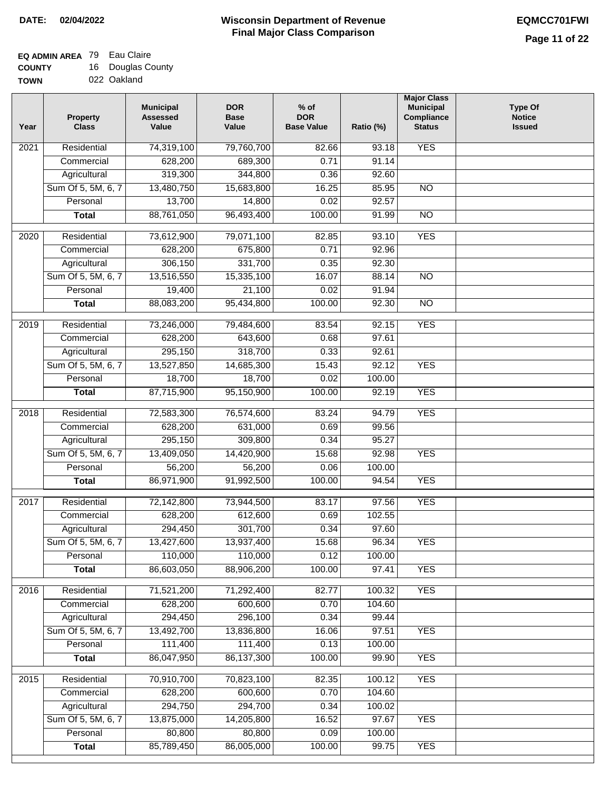### **EQ ADMIN AREA** 79 Eau Claire

**COUNTY TOWN** 16 Douglas County

|  |  | 022 Oakland |
|--|--|-------------|

| Year              | <b>Property</b><br><b>Class</b> | <b>Municipal</b><br><b>Assessed</b><br>Value | <b>DOR</b><br><b>Base</b><br>Value | % of<br><b>DOR</b><br><b>Base Value</b> | Ratio (%) | <b>Major Class</b><br><b>Municipal</b><br>Compliance<br><b>Status</b> | <b>Type Of</b><br><b>Notice</b><br><b>Issued</b> |
|-------------------|---------------------------------|----------------------------------------------|------------------------------------|-----------------------------------------|-----------|-----------------------------------------------------------------------|--------------------------------------------------|
| 2021              | Residential                     | 74,319,100                                   | 79,760,700                         | 82.66                                   | 93.18     | <b>YES</b>                                                            |                                                  |
|                   | Commercial                      | 628,200                                      | 689,300                            | 0.71                                    | 91.14     |                                                                       |                                                  |
|                   | Agricultural                    | 319,300                                      | 344,800                            | 0.36                                    | 92.60     |                                                                       |                                                  |
|                   | Sum Of 5, 5M, 6, 7              | 13,480,750                                   | 15,683,800                         | 16.25                                   | 85.95     | $\overline{NO}$                                                       |                                                  |
|                   | Personal                        | 13,700                                       | 14,800                             | 0.02                                    | 92.57     |                                                                       |                                                  |
|                   | <b>Total</b>                    | 88,761,050                                   | 96,493,400                         | 100.00                                  | 91.99     | $\overline{NO}$                                                       |                                                  |
| 2020              | Residential                     | 73,612,900                                   | 79,071,100                         | 82.85                                   | 93.10     | <b>YES</b>                                                            |                                                  |
|                   | Commercial                      | 628,200                                      | 675,800                            | 0.71                                    | 92.96     |                                                                       |                                                  |
|                   | Agricultural                    | 306,150                                      | 331,700                            | 0.35                                    | 92.30     |                                                                       |                                                  |
|                   | Sum Of 5, 5M, 6, 7              | 13,516,550                                   | 15,335,100                         | 16.07                                   | 88.14     | $\overline{NO}$                                                       |                                                  |
|                   | Personal                        | 19,400                                       | 21,100                             | 0.02                                    | 91.94     |                                                                       |                                                  |
|                   | <b>Total</b>                    | 88,083,200                                   | 95,434,800                         | 100.00                                  | 92.30     | $\overline{NO}$                                                       |                                                  |
|                   |                                 |                                              |                                    |                                         |           |                                                                       |                                                  |
| 2019              | Residential                     | 73,246,000                                   | 79,484,600                         | 83.54                                   | 92.15     | <b>YES</b>                                                            |                                                  |
|                   | Commercial                      | 628,200                                      | 643,600                            | 0.68                                    | 97.61     |                                                                       |                                                  |
|                   | Agricultural                    | 295,150                                      | 318,700                            | 0.33                                    | 92.61     |                                                                       |                                                  |
|                   | Sum Of 5, 5M, 6, 7              | 13,527,850                                   | 14,685,300                         | 15.43                                   | 92.12     | <b>YES</b>                                                            |                                                  |
|                   | Personal                        | 18,700                                       | 18,700                             | 0.02                                    | 100.00    |                                                                       |                                                  |
|                   | <b>Total</b>                    | 87,715,900                                   | 95,150,900                         | 100.00                                  | 92.19     | <b>YES</b>                                                            |                                                  |
| $\overline{2018}$ | Residential                     | 72,583,300                                   | 76,574,600                         | 83.24                                   | 94.79     | <b>YES</b>                                                            |                                                  |
|                   | Commercial                      | 628,200                                      | 631,000                            | 0.69                                    | 99.56     |                                                                       |                                                  |
|                   | Agricultural                    | 295,150                                      | 309,800                            | 0.34                                    | 95.27     |                                                                       |                                                  |
|                   | Sum Of 5, 5M, 6, 7              | 13,409,050                                   | 14,420,900                         | 15.68                                   | 92.98     | <b>YES</b>                                                            |                                                  |
|                   | Personal                        | 56,200                                       | 56,200                             | 0.06                                    | 100.00    |                                                                       |                                                  |
|                   | <b>Total</b>                    | 86,971,900                                   | 91,992,500                         | 100.00                                  | 94.54     | <b>YES</b>                                                            |                                                  |
| 2017              | Residential                     | 72,142,800                                   | 73,944,500                         | 83.17                                   | 97.56     | <b>YES</b>                                                            |                                                  |
|                   | Commercial                      | 628,200                                      | 612,600                            | 0.69                                    | 102.55    |                                                                       |                                                  |
|                   | Agricultural                    | 294,450                                      | 301,700                            | 0.34                                    | 97.60     |                                                                       |                                                  |
|                   | Sum Of 5, 5M, 6, 7              | 13,427,600                                   | 13,937,400                         | 15.68                                   | 96.34     | <b>YES</b>                                                            |                                                  |
|                   | Personal                        | 110,000                                      | 110,000                            | 0.12                                    | 100.00    |                                                                       |                                                  |
|                   | <b>Total</b>                    | 86,603,050                                   | 88,906,200                         | 100.00                                  | 97.41     | <b>YES</b>                                                            |                                                  |
| 2016              | Residential                     | 71,521,200                                   | 71,292,400                         | 82.77                                   | 100.32    | <b>YES</b>                                                            |                                                  |
|                   | Commercial                      | 628,200                                      | 600,600                            | 0.70                                    | 104.60    |                                                                       |                                                  |
|                   | Agricultural                    | 294,450                                      | 296,100                            | 0.34                                    | 99.44     |                                                                       |                                                  |
|                   | Sum Of 5, 5M, 6, 7              | 13,492,700                                   | 13,836,800                         | 16.06                                   | 97.51     | <b>YES</b>                                                            |                                                  |
|                   | Personal                        | 111,400                                      | 111,400                            | 0.13                                    | 100.00    |                                                                       |                                                  |
|                   |                                 | 86,047,950                                   | 86,137,300                         | 100.00                                  | 99.90     | <b>YES</b>                                                            |                                                  |
|                   | <b>Total</b>                    |                                              |                                    |                                         |           |                                                                       |                                                  |
| 2015              | Residential                     | 70,910,700                                   | 70,823,100                         | 82.35                                   | 100.12    | <b>YES</b>                                                            |                                                  |
|                   | Commercial                      | 628,200                                      | 600,600                            | 0.70                                    | 104.60    |                                                                       |                                                  |
|                   | Agricultural                    | 294,750                                      | 294,700                            | 0.34                                    | 100.02    |                                                                       |                                                  |
|                   | Sum Of 5, 5M, 6, 7              | 13,875,000                                   | 14,205,800                         | 16.52                                   | 97.67     | <b>YES</b>                                                            |                                                  |
|                   | Personal                        | 80,800                                       | 80,800                             | 0.09                                    | 100.00    |                                                                       |                                                  |
|                   | <b>Total</b>                    | 85,789,450                                   | 86,005,000                         | 100.00                                  | 99.75     | <b>YES</b>                                                            |                                                  |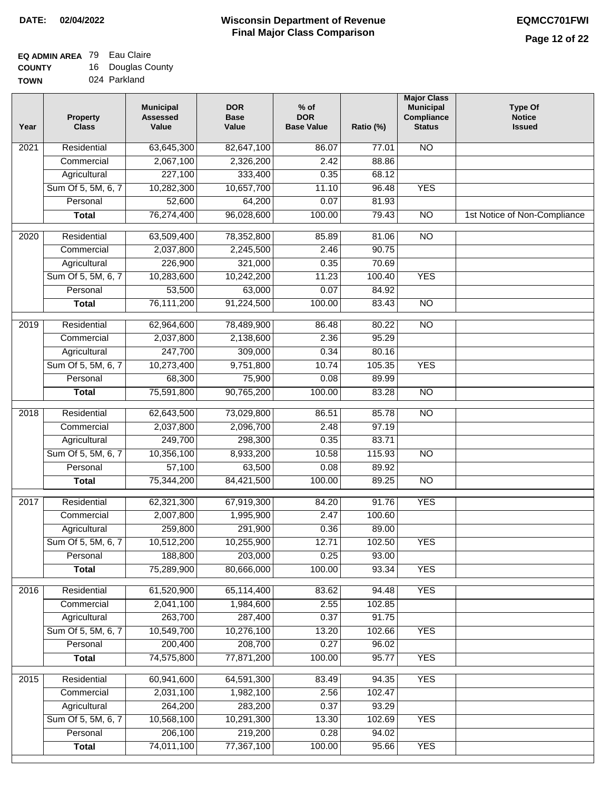## **EQ ADMIN AREA** 79 Eau Claire

**COUNTY TOWN** 16 Douglas County 024 Parkland

| Year              | <b>Property</b><br><b>Class</b> | <b>Municipal</b><br><b>Assessed</b><br>Value | <b>DOR</b><br><b>Base</b><br>Value | $%$ of<br><b>DOR</b><br><b>Base Value</b> | Ratio (%) | <b>Major Class</b><br><b>Municipal</b><br>Compliance<br><b>Status</b> | <b>Type Of</b><br><b>Notice</b><br><b>Issued</b> |
|-------------------|---------------------------------|----------------------------------------------|------------------------------------|-------------------------------------------|-----------|-----------------------------------------------------------------------|--------------------------------------------------|
| 2021              | Residential                     | 63,645,300                                   | 82,647,100                         | 86.07                                     | 77.01     | <b>NO</b>                                                             |                                                  |
|                   | Commercial                      | 2,067,100                                    | 2,326,200                          | 2.42                                      | 88.86     |                                                                       |                                                  |
|                   | Agricultural                    | 227,100                                      | 333,400                            | 0.35                                      | 68.12     |                                                                       |                                                  |
|                   | Sum Of 5, 5M, 6, 7              | 10,282,300                                   | 10,657,700                         | 11.10                                     | 96.48     | <b>YES</b>                                                            |                                                  |
|                   | Personal                        | 52,600                                       | 64,200                             | 0.07                                      | 81.93     |                                                                       |                                                  |
|                   | <b>Total</b>                    | 76,274,400                                   | 96,028,600                         | 100.00                                    | 79.43     | $\overline{NO}$                                                       | 1st Notice of Non-Compliance                     |
| $\overline{20}20$ | Residential                     | 63,509,400                                   | 78,352,800                         | 85.89                                     | 81.06     | $\overline{NO}$                                                       |                                                  |
|                   | Commercial                      | 2,037,800                                    | 2,245,500                          | 2.46                                      | 90.75     |                                                                       |                                                  |
|                   | Agricultural                    | 226,900                                      | 321,000                            | 0.35                                      | 70.69     |                                                                       |                                                  |
|                   | Sum Of 5, 5M, 6, 7              | 10,283,600                                   | 10,242,200                         | 11.23                                     | 100.40    | <b>YES</b>                                                            |                                                  |
|                   | Personal                        | 53,500                                       | 63,000                             | 0.07                                      | 84.92     |                                                                       |                                                  |
|                   | <b>Total</b>                    | 76,111,200                                   | 91,224,500                         | 100.00                                    | 83.43     | $\overline{NO}$                                                       |                                                  |
|                   |                                 |                                              |                                    |                                           |           |                                                                       |                                                  |
| $\frac{2019}{ }$  | Residential                     | 62,964,600                                   | 78,489,900                         | 86.48                                     | 80.22     | $\overline{NO}$                                                       |                                                  |
|                   | Commercial                      | 2,037,800                                    | 2,138,600                          | 2.36                                      | 95.29     |                                                                       |                                                  |
|                   | Agricultural                    | 247,700                                      | 309,000                            | 0.34                                      | 80.16     |                                                                       |                                                  |
|                   | Sum Of 5, 5M, 6, 7              | 10,273,400                                   | 9,751,800                          | 10.74                                     | 105.35    | <b>YES</b>                                                            |                                                  |
|                   | Personal                        | 68,300                                       | 75,900                             | 0.08                                      | 89.99     |                                                                       |                                                  |
|                   | <b>Total</b>                    | 75,591,800                                   | 90,765,200                         | 100.00                                    | 83.28     | $\overline{N}$                                                        |                                                  |
| 2018              | Residential                     | 62,643,500                                   | 73,029,800                         | 86.51                                     | 85.78     | $\overline{NO}$                                                       |                                                  |
|                   | Commercial                      | 2,037,800                                    | 2,096,700                          | 2.48                                      | 97.19     |                                                                       |                                                  |
|                   | Agricultural                    | 249,700                                      | 298,300                            | 0.35                                      | 83.71     |                                                                       |                                                  |
|                   | Sum Of 5, 5M, 6, 7              | 10,356,100                                   | 8,933,200                          | 10.58                                     | 115.93    | $\overline{3}$                                                        |                                                  |
|                   | Personal                        | 57,100                                       | 63,500                             | 0.08                                      | 89.92     |                                                                       |                                                  |
|                   | <b>Total</b>                    | 75,344,200                                   | 84,421,500                         | 100.00                                    | 89.25     | N <sub>O</sub>                                                        |                                                  |
| 2017              | Residential                     | 62,321,300                                   | 67,919,300                         | 84.20                                     | 91.76     | <b>YES</b>                                                            |                                                  |
|                   | Commercial                      | 2,007,800                                    | 1,995,900                          | 2.47                                      | 100.60    |                                                                       |                                                  |
|                   | Agricultural                    | 259,800                                      | 291,900                            | 0.36                                      | 89.00     |                                                                       |                                                  |
|                   | Sum Of 5, 5M, 6, 7              | 10,512,200                                   | 10,255,900                         | 12.71                                     | 102.50    | YES                                                                   |                                                  |
|                   | Personal                        | 188,800                                      | 203,000                            | 0.25                                      | 93.00     |                                                                       |                                                  |
|                   | <b>Total</b>                    | 75,289,900                                   | 80,666,000                         | 100.00                                    | 93.34     | <b>YES</b>                                                            |                                                  |
| 2016              | Residential                     | 61,520,900                                   | 65,114,400                         | 83.62                                     | 94.48     | <b>YES</b>                                                            |                                                  |
|                   | Commercial                      | 2,041,100                                    | 1,984,600                          | 2.55                                      | 102.85    |                                                                       |                                                  |
|                   | Agricultural                    | 263,700                                      | 287,400                            | 0.37                                      | 91.75     |                                                                       |                                                  |
|                   | Sum Of 5, 5M, 6, 7              | 10,549,700                                   | 10,276,100                         | 13.20                                     | 102.66    | <b>YES</b>                                                            |                                                  |
|                   | Personal                        | 200,400                                      | 208,700                            | 0.27                                      | 96.02     |                                                                       |                                                  |
|                   | <b>Total</b>                    | 74,575,800                                   | 77,871,200                         | 100.00                                    | 95.77     | <b>YES</b>                                                            |                                                  |
|                   |                                 |                                              |                                    |                                           |           |                                                                       |                                                  |
| 2015              | Residential                     | 60,941,600                                   | 64,591,300                         | 83.49                                     | 94.35     | <b>YES</b>                                                            |                                                  |
|                   | Commercial                      | 2,031,100                                    | 1,982,100                          | 2.56                                      | 102.47    |                                                                       |                                                  |
|                   | Agricultural                    | 264,200                                      | 283,200                            | 0.37                                      | 93.29     |                                                                       |                                                  |
|                   | Sum Of 5, 5M, 6, 7              | 10,568,100                                   | 10,291,300                         | 13.30                                     | 102.69    | <b>YES</b>                                                            |                                                  |
|                   | Personal                        | 206,100                                      | 219,200                            | 0.28                                      | 94.02     |                                                                       |                                                  |
|                   | <b>Total</b>                    | 74,011,100                                   | 77,367,100                         | 100.00                                    | 95.66     | <b>YES</b>                                                            |                                                  |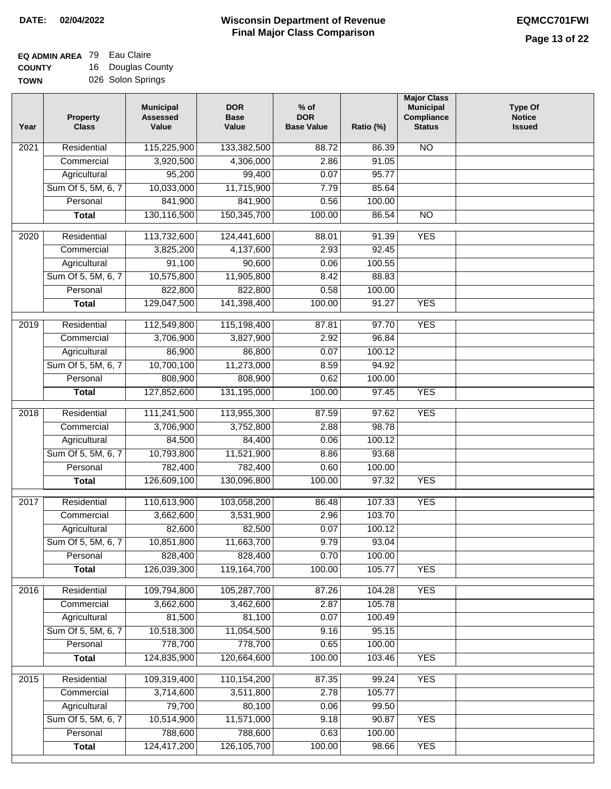#### **EQ ADMIN AREA** 79 Eau Claire **COUNTY** 16 Douglas County

**TOWN** 026 Solon Springs

| Year | <b>Property</b><br><b>Class</b> | <b>Municipal</b><br><b>Assessed</b><br>Value | <b>DOR</b><br><b>Base</b><br>Value | $%$ of<br><b>DOR</b><br><b>Base Value</b> | Ratio (%)       | <b>Major Class</b><br><b>Municipal</b><br>Compliance<br><b>Status</b> | <b>Type Of</b><br><b>Notice</b><br><b>Issued</b> |
|------|---------------------------------|----------------------------------------------|------------------------------------|-------------------------------------------|-----------------|-----------------------------------------------------------------------|--------------------------------------------------|
| 2021 | Residential                     | 115,225,900                                  | 133,382,500                        | 88.72                                     | 86.39           | <b>NO</b>                                                             |                                                  |
|      | Commercial                      | 3,920,500                                    | 4,306,000                          | 2.86                                      | 91.05           |                                                                       |                                                  |
|      | Agricultural                    | 95,200                                       | 99,400                             | 0.07                                      | 95.77           |                                                                       |                                                  |
|      | Sum Of 5, 5M, 6, 7              | 10,033,000                                   | 11,715,900                         | 7.79                                      | 85.64           |                                                                       |                                                  |
|      | Personal                        | 841,900                                      | 841,900                            | 0.56                                      | 100.00          |                                                                       |                                                  |
|      | <b>Total</b>                    | 130,116,500                                  | 150,345,700                        | 100.00                                    | 86.54           | $\overline{NO}$                                                       |                                                  |
| 2020 | Residential                     | 113,732,600                                  | 124,441,600                        | 88.01                                     | 91.39           | <b>YES</b>                                                            |                                                  |
|      | Commercial                      | 3,825,200                                    | 4,137,600                          | 2.93                                      | 92.45           |                                                                       |                                                  |
|      | Agricultural                    | 91,100                                       | 90,600                             | 0.06                                      | 100.55          |                                                                       |                                                  |
|      | Sum Of 5, 5M, 6, 7              | 10,575,800                                   | 11,905,800                         | 8.42                                      | 88.83           |                                                                       |                                                  |
|      | Personal                        | 822,800                                      | 822,800                            | 0.58                                      | 100.00          |                                                                       |                                                  |
|      | <b>Total</b>                    | 129,047,500                                  | 141,398,400                        | 100.00                                    | 91.27           | <b>YES</b>                                                            |                                                  |
|      |                                 |                                              |                                    |                                           |                 |                                                                       |                                                  |
| 2019 | Residential                     | 112,549,800                                  | 115,198,400                        | 87.81                                     | 97.70           | <b>YES</b>                                                            |                                                  |
|      | Commercial                      | 3,706,900                                    | 3,827,900                          | 2.92                                      | 96.84           |                                                                       |                                                  |
|      | Agricultural                    | 86,900                                       | 86,800                             | 0.07                                      | 100.12          |                                                                       |                                                  |
|      | Sum Of 5, 5M, 6, 7              | 10,700,100                                   | 11,273,000                         | 8.59                                      | 94.92           |                                                                       |                                                  |
|      | Personal                        | 808,900                                      | 808,900                            | 0.62<br>100.00                            | 100.00<br>97.45 | <b>YES</b>                                                            |                                                  |
|      | <b>Total</b>                    | 127,852,600                                  | 131,195,000                        |                                           |                 |                                                                       |                                                  |
| 2018 | Residential                     | 111,241,500                                  | 113,955,300                        | 87.59                                     | 97.62           | <b>YES</b>                                                            |                                                  |
|      | Commercial                      | 3,706,900                                    | 3,752,800                          | 2.88                                      | 98.78           |                                                                       |                                                  |
|      | Agricultural                    | 84,500                                       | 84,400                             | 0.06                                      | 100.12          |                                                                       |                                                  |
|      | Sum Of 5, 5M, 6, 7              | 10,793,800                                   | 11,521,900                         | 8.86                                      | 93.68           |                                                                       |                                                  |
|      | Personal                        | 782,400                                      | 782,400                            | 0.60                                      | 100.00          |                                                                       |                                                  |
|      | <b>Total</b>                    | 126,609,100                                  | 130,096,800                        | 100.00                                    | 97.32           | <b>YES</b>                                                            |                                                  |
| 2017 | Residential                     | 110,613,900                                  | 103,058,200                        | 86.48                                     | 107.33          | <b>YES</b>                                                            |                                                  |
|      | Commercial                      | 3,662,600                                    | 3,531,900                          | 2.96                                      | 103.70          |                                                                       |                                                  |
|      | Agricultural                    | 82,600                                       | 82,500                             | 0.07                                      | 100.12          |                                                                       |                                                  |
|      | Sum Of 5, 5M, 6, 7              | 10,851,800                                   | 11,663,700                         | 9.79                                      | 93.04           |                                                                       |                                                  |
|      | Personal                        | 828,400                                      | 828,400                            | 0.70                                      | 100.00          |                                                                       |                                                  |
|      | <b>Total</b>                    | 126,039,300                                  | 119,164,700                        | 100.00                                    | 105.77          | <b>YES</b>                                                            |                                                  |
| 2016 | Residential                     | 109,794,800                                  | 105,287,700                        | 87.26                                     | 104.28          | <b>YES</b>                                                            |                                                  |
|      | Commercial                      | 3,662,600                                    | 3,462,600                          | 2.87                                      | 105.78          |                                                                       |                                                  |
|      | Agricultural                    | 81,500                                       | 81,100                             | 0.07                                      | 100.49          |                                                                       |                                                  |
|      | Sum Of 5, 5M, 6, 7              | 10,518,300                                   | 11,054,500                         | 9.16                                      | 95.15           |                                                                       |                                                  |
|      | Personal                        | 778,700                                      | 778,700                            | 0.65                                      | 100.00          |                                                                       |                                                  |
|      | <b>Total</b>                    | 124,835,900                                  | 120,664,600                        | 100.00                                    | 103.46          | <b>YES</b>                                                            |                                                  |
|      |                                 |                                              |                                    |                                           |                 |                                                                       |                                                  |
| 2015 | Residential<br>Commercial       | 109,319,400<br>3,714,600                     | 110,154,200<br>3,511,800           | 87.35<br>2.78                             | 99.24<br>105.77 | <b>YES</b>                                                            |                                                  |
|      | Agricultural                    | 79,700                                       | 80,100                             | 0.06                                      | 99.50           |                                                                       |                                                  |
|      | Sum Of 5, 5M, 6, 7              | 10,514,900                                   | 11,571,000                         | 9.18                                      | 90.87           | <b>YES</b>                                                            |                                                  |
|      | Personal                        | 788,600                                      | 788,600                            | 0.63                                      | 100.00          |                                                                       |                                                  |
|      | <b>Total</b>                    | 124,417,200                                  | 126, 105, 700                      | 100.00                                    | 98.66           | <b>YES</b>                                                            |                                                  |
|      |                                 |                                              |                                    |                                           |                 |                                                                       |                                                  |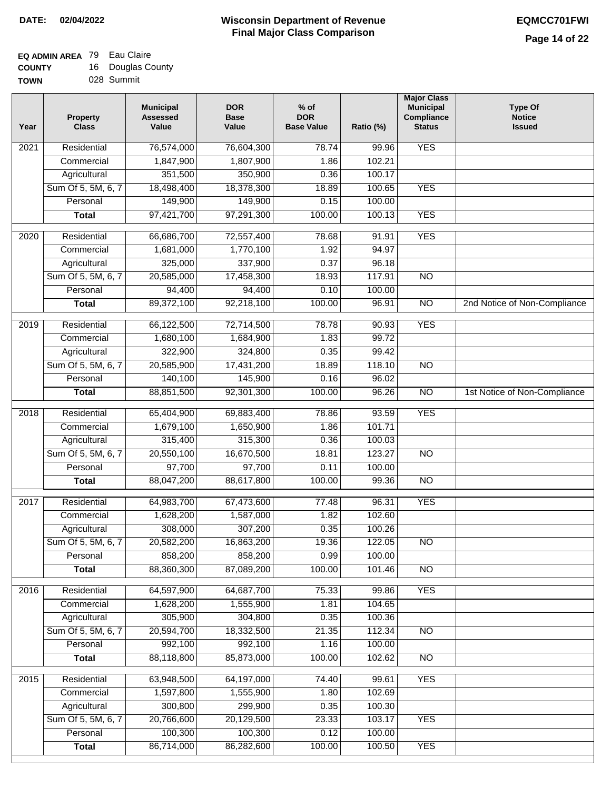# **EQ ADMIN AREA** 79 Eau Claire

| <b>COUNTY</b> | 16. | Douglas County |
|---------------|-----|----------------|
| <b>TOWN</b>   |     | 028 Summit     |

| Year              | <b>Property</b><br><b>Class</b> | <b>Municipal</b><br><b>Assessed</b><br>Value | <b>DOR</b><br><b>Base</b><br>Value | $%$ of<br><b>DOR</b><br><b>Base Value</b> | Ratio (%) | <b>Major Class</b><br><b>Municipal</b><br><b>Compliance</b><br><b>Status</b> | <b>Type Of</b><br><b>Notice</b><br><b>Issued</b> |
|-------------------|---------------------------------|----------------------------------------------|------------------------------------|-------------------------------------------|-----------|------------------------------------------------------------------------------|--------------------------------------------------|
| 2021              | Residential                     | 76,574,000                                   | 76,604,300                         | 78.74                                     | 99.96     | <b>YES</b>                                                                   |                                                  |
|                   | Commercial                      | 1,847,900                                    | 1,807,900                          | 1.86                                      | 102.21    |                                                                              |                                                  |
|                   | Agricultural                    | 351,500                                      | 350,900                            | 0.36                                      | 100.17    |                                                                              |                                                  |
|                   | Sum Of 5, 5M, 6, 7              | 18,498,400                                   | 18,378,300                         | 18.89                                     | 100.65    | <b>YES</b>                                                                   |                                                  |
|                   | Personal                        | 149,900                                      | 149,900                            | 0.15                                      | 100.00    |                                                                              |                                                  |
|                   | <b>Total</b>                    | 97,421,700                                   | 97,291,300                         | 100.00                                    | 100.13    | <b>YES</b>                                                                   |                                                  |
| 2020              | Residential                     | 66,686,700                                   | 72,557,400                         | 78.68                                     | 91.91     | <b>YES</b>                                                                   |                                                  |
|                   | Commercial                      | 1,681,000                                    | 1,770,100                          | 1.92                                      | 94.97     |                                                                              |                                                  |
|                   | Agricultural                    | 325,000                                      | 337,900                            | 0.37                                      | 96.18     |                                                                              |                                                  |
|                   | Sum Of 5, 5M, 6, 7              | 20,585,000                                   | 17,458,300                         | 18.93                                     | 117.91    | $\overline{NO}$                                                              |                                                  |
|                   | Personal                        | 94,400                                       | 94,400                             | 0.10                                      | 100.00    |                                                                              |                                                  |
|                   | <b>Total</b>                    | 89,372,100                                   | 92,218,100                         | 100.00                                    | 96.91     | $\overline{NO}$                                                              | 2nd Notice of Non-Compliance                     |
| 2019              | Residential                     | 66,122,500                                   | 72,714,500                         | 78.78                                     | 90.93     | <b>YES</b>                                                                   |                                                  |
|                   | Commercial                      | 1,680,100                                    | 1,684,900                          | 1.83                                      | 99.72     |                                                                              |                                                  |
|                   | Agricultural                    | 322,900                                      | 324,800                            | 0.35                                      | 99.42     |                                                                              |                                                  |
|                   | Sum Of 5, 5M, 6, 7              | 20,585,900                                   | 17,431,200                         | 18.89                                     | 118.10    | $\overline{NO}$                                                              |                                                  |
|                   | Personal                        | 140,100                                      | 145,900                            | 0.16                                      | 96.02     |                                                                              |                                                  |
|                   | <b>Total</b>                    | 88,851,500                                   | 92,301,300                         | 100.00                                    | 96.26     | $\overline{NO}$                                                              | 1st Notice of Non-Compliance                     |
| 2018              | Residential                     | 65,404,900                                   | 69,883,400                         | 78.86                                     | 93.59     | <b>YES</b>                                                                   |                                                  |
|                   | Commercial                      | 1,679,100                                    | 1,650,900                          | 1.86                                      | 101.71    |                                                                              |                                                  |
|                   | Agricultural                    | 315,400                                      | 315,300                            | 0.36                                      | 100.03    |                                                                              |                                                  |
|                   | Sum Of 5, 5M, 6, 7              | 20,550,100                                   | 16,670,500                         | 18.81                                     | 123.27    | <b>NO</b>                                                                    |                                                  |
|                   | Personal                        | 97,700                                       | 97,700                             | 0.11                                      | 100.00    |                                                                              |                                                  |
|                   | <b>Total</b>                    | 88,047,200                                   | 88,617,800                         | 100.00                                    | 99.36     | <b>NO</b>                                                                    |                                                  |
|                   |                                 |                                              |                                    |                                           |           |                                                                              |                                                  |
| 2017              | Residential                     | 64,983,700                                   | 67,473,600                         | 77.48                                     | 96.31     | <b>YES</b>                                                                   |                                                  |
|                   | Commercial                      | 1,628,200                                    | 1,587,000                          | 1.82                                      | 102.60    |                                                                              |                                                  |
|                   | Agricultural                    | 308,000                                      | 307,200                            | 0.35                                      | 100.26    |                                                                              |                                                  |
|                   | Sum Of 5, 5M, 6, 7              | 20,582,200                                   | 16,863,200                         | 19.36                                     | 122.05    | NO                                                                           |                                                  |
|                   | Personal                        | 858,200                                      | 858,200                            | 0.99                                      | 100.00    |                                                                              |                                                  |
|                   | <b>Total</b>                    | 88,360,300                                   | 87,089,200                         | 100.00                                    | 101.46    | $\overline{NO}$                                                              |                                                  |
| 2016              | Residential                     | 64,597,900                                   | 64,687,700                         | 75.33                                     | 99.86     | <b>YES</b>                                                                   |                                                  |
|                   | Commercial                      | 1,628,200                                    | 1,555,900                          | 1.81                                      | 104.65    |                                                                              |                                                  |
|                   | Agricultural                    | 305,900                                      | 304,800                            | 0.35                                      | 100.36    |                                                                              |                                                  |
|                   | Sum Of 5, 5M, 6, 7              | 20,594,700                                   | 18,332,500                         | 21.35                                     | 112.34    | $\overline{NO}$                                                              |                                                  |
|                   | Personal                        | 992,100                                      | 992,100                            | 1.16                                      | 100.00    |                                                                              |                                                  |
|                   | <b>Total</b>                    | 88,118,800                                   | 85,873,000                         | 100.00                                    | 102.62    | $\overline{NO}$                                                              |                                                  |
| $\overline{2015}$ | Residential                     | 63,948,500                                   | 64,197,000                         | 74.40                                     | 99.61     | <b>YES</b>                                                                   |                                                  |
|                   | Commercial                      | 1,597,800                                    | 1,555,900                          | 1.80                                      | 102.69    |                                                                              |                                                  |
|                   | Agricultural                    | 300,800                                      | 299,900                            | 0.35                                      | 100.30    |                                                                              |                                                  |
|                   | Sum Of 5, 5M, 6, 7              | 20,766,600                                   | 20,129,500                         | 23.33                                     | 103.17    | <b>YES</b>                                                                   |                                                  |
|                   | Personal                        | 100,300                                      | 100,300                            | 0.12                                      | 100.00    |                                                                              |                                                  |
|                   | <b>Total</b>                    | 86,714,000                                   | 86,282,600                         | 100.00                                    | 100.50    | <b>YES</b>                                                                   |                                                  |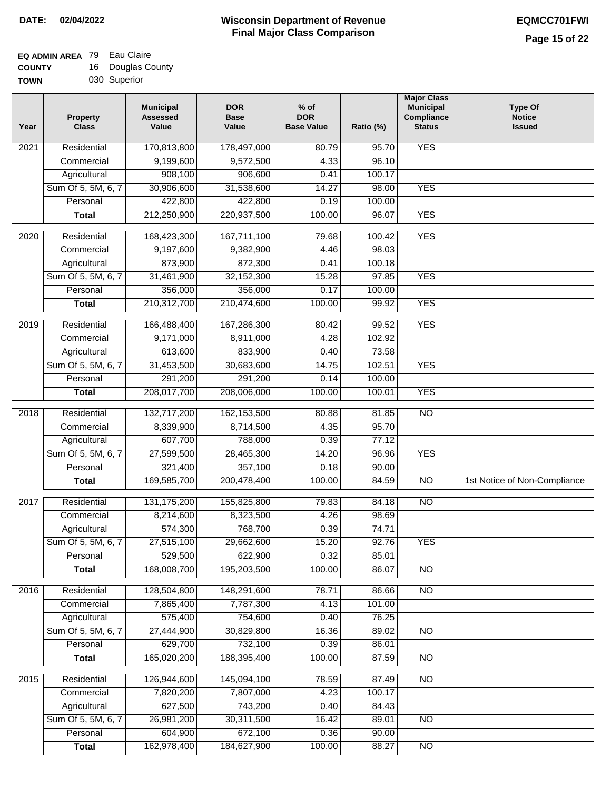### **Wisconsin Department of Revenue Final Major Class Comparison DATE: 02/04/2022 EQMCC701FWI**

## **EQ ADMIN AREA** 79 Eau Claire

| <b>COUNTY</b> | 16 | Douglas County |
|---------------|----|----------------|
| <b>TOWN</b>   |    | 030 Superior   |

| Year             | <b>Property</b><br><b>Class</b> | <b>Municipal</b><br><b>Assessed</b><br>Value | <b>DOR</b><br><b>Base</b><br>Value | $%$ of<br><b>DOR</b><br><b>Base Value</b> | Ratio (%) | <b>Major Class</b><br><b>Municipal</b><br>Compliance<br><b>Status</b> | <b>Type Of</b><br><b>Notice</b><br><b>Issued</b> |
|------------------|---------------------------------|----------------------------------------------|------------------------------------|-------------------------------------------|-----------|-----------------------------------------------------------------------|--------------------------------------------------|
| 2021             | Residential                     | 170,813,800                                  | 178,497,000                        | 80.79                                     | 95.70     | <b>YES</b>                                                            |                                                  |
|                  | Commercial                      | 9,199,600                                    | 9,572,500                          | 4.33                                      | 96.10     |                                                                       |                                                  |
|                  | Agricultural                    | 908,100                                      | 906,600                            | 0.41                                      | 100.17    |                                                                       |                                                  |
|                  | Sum Of 5, 5M, 6, 7              | 30,906,600                                   | 31,538,600                         | 14.27                                     | 98.00     | <b>YES</b>                                                            |                                                  |
|                  | Personal                        | 422,800                                      | 422,800                            | 0.19                                      | 100.00    |                                                                       |                                                  |
|                  | <b>Total</b>                    | 212,250,900                                  | 220,937,500                        | 100.00                                    | 96.07     | <b>YES</b>                                                            |                                                  |
| 2020             | Residential                     | 168,423,300                                  | 167,711,100                        | 79.68                                     | 100.42    | <b>YES</b>                                                            |                                                  |
|                  | Commercial                      | 9,197,600                                    | 9,382,900                          | 4.46                                      | 98.03     |                                                                       |                                                  |
|                  | Agricultural                    | 873,900                                      | 872,300                            | 0.41                                      | 100.18    |                                                                       |                                                  |
|                  | Sum Of 5, 5M, 6, 7              | 31,461,900                                   | 32, 152, 300                       | 15.28                                     | 97.85     | <b>YES</b>                                                            |                                                  |
|                  | Personal                        | 356,000                                      | 356,000                            | 0.17                                      | 100.00    |                                                                       |                                                  |
|                  | <b>Total</b>                    | 210,312,700                                  | 210,474,600                        | 100.00                                    | 99.92     | <b>YES</b>                                                            |                                                  |
| $\frac{2019}{ }$ | Residential                     | 166,488,400                                  | 167,286,300                        | 80.42                                     | 99.52     | <b>YES</b>                                                            |                                                  |
|                  | Commercial                      | 9,171,000                                    | 8,911,000                          | 4.28                                      | 102.92    |                                                                       |                                                  |
|                  | Agricultural                    | 613,600                                      | 833,900                            | 0.40                                      | 73.58     |                                                                       |                                                  |
|                  | Sum Of 5, 5M, 6, 7              | 31,453,500                                   | 30,683,600                         | 14.75                                     | 102.51    | <b>YES</b>                                                            |                                                  |
|                  | Personal                        | 291,200                                      | 291,200                            | 0.14                                      | 100.00    |                                                                       |                                                  |
|                  | <b>Total</b>                    | 208,017,700                                  | 208,006,000                        | 100.00                                    | 100.01    | <b>YES</b>                                                            |                                                  |
|                  |                                 |                                              |                                    |                                           |           |                                                                       |                                                  |
| 2018             | Residential                     | 132,717,200                                  | 162,153,500                        | 80.88                                     | 81.85     | $\overline{NO}$                                                       |                                                  |
|                  | Commercial                      | 8,339,900                                    | 8,714,500                          | 4.35                                      | 95.70     |                                                                       |                                                  |
|                  | Agricultural                    | 607,700                                      | 788,000                            | 0.39                                      | 77.12     |                                                                       |                                                  |
|                  | Sum Of 5, 5M, 6, 7              | 27,599,500                                   | 28,465,300                         | 14.20                                     | 96.96     | <b>YES</b>                                                            |                                                  |
|                  | Personal                        | 321,400                                      | 357,100                            | 0.18                                      | 90.00     |                                                                       |                                                  |
|                  | <b>Total</b>                    | 169,585,700                                  | 200,478,400                        | 100.00                                    | 84.59     | <b>NO</b>                                                             | 1st Notice of Non-Compliance                     |
| 2017             | Residential                     | 131, 175, 200                                | 155,825,800                        | 79.83                                     | 84.18     | $\overline{NO}$                                                       |                                                  |
|                  | Commercial                      | 8,214,600                                    | 8,323,500                          | 4.26                                      | 98.69     |                                                                       |                                                  |
|                  | Agricultural                    | 574,300                                      | 768,700                            | 0.39                                      | 74.71     |                                                                       |                                                  |
|                  | Sum Of 5, 5M, 6, 7              | 27,515,100                                   | 29,662,600                         | 15.20                                     | 92.76     | YES                                                                   |                                                  |
|                  | Personal                        | 529,500                                      | 622,900                            | 0.32                                      | 85.01     |                                                                       |                                                  |
|                  | <b>Total</b>                    | 168,008,700                                  | 195,203,500                        | 100.00                                    | 86.07     | $\overline{NO}$                                                       |                                                  |
| 2016             | Residential                     | 128,504,800                                  | 148,291,600                        | 78.71                                     | 86.66     | N <sub>O</sub>                                                        |                                                  |
|                  | Commercial                      | 7,865,400                                    | 7,787,300                          | 4.13                                      | 101.00    |                                                                       |                                                  |
|                  | Agricultural                    | 575,400                                      | 754,600                            | 0.40                                      | 76.25     |                                                                       |                                                  |
|                  | Sum Of 5, 5M, 6, 7              | 27,444,900                                   | 30,829,800                         | 16.36                                     | 89.02     | N <sub>O</sub>                                                        |                                                  |
|                  | Personal                        | 629,700                                      | 732,100                            | 0.39                                      | 86.01     |                                                                       |                                                  |
|                  | <b>Total</b>                    | 165,020,200                                  | 188,395,400                        | 100.00                                    | 87.59     | N <sub>O</sub>                                                        |                                                  |
| 2015             | Residential                     | 126,944,600                                  | 145,094,100                        | 78.59                                     | 87.49     | $\overline{NO}$                                                       |                                                  |
|                  | Commercial                      | 7,820,200                                    | 7,807,000                          | 4.23                                      | 100.17    |                                                                       |                                                  |
|                  | Agricultural                    | 627,500                                      | 743,200                            | 0.40                                      | 84.43     |                                                                       |                                                  |
|                  | Sum Of 5, 5M, 6, 7              | 26,981,200                                   | 30,311,500                         | 16.42                                     | 89.01     | $\overline{NO}$                                                       |                                                  |
|                  | Personal                        | 604,900                                      | 672,100                            | 0.36                                      | 90.00     |                                                                       |                                                  |
|                  | <b>Total</b>                    | 162,978,400                                  | 184,627,900                        | 100.00                                    | 88.27     | $\overline{NO}$                                                       |                                                  |
|                  |                                 |                                              |                                    |                                           |           |                                                                       |                                                  |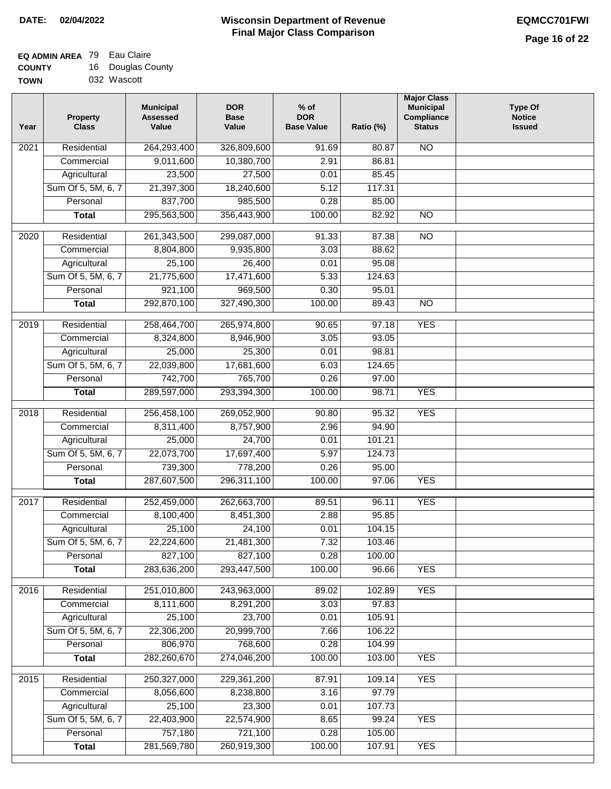### **EQ ADMIN AREA** 79 Eau Claire **COUNTY**

| <b>COUNTY</b> | 16 Douglas County |
|---------------|-------------------|
| <b>TOWN</b>   | 032 Wascott       |

| Year              | <b>Property</b><br><b>Class</b> | <b>Municipal</b><br><b>Assessed</b><br>Value | <b>DOR</b><br><b>Base</b><br>Value | $%$ of<br><b>DOR</b><br><b>Base Value</b> | Ratio (%) | <b>Major Class</b><br><b>Municipal</b><br>Compliance<br><b>Status</b> | <b>Type Of</b><br><b>Notice</b><br><b>Issued</b> |
|-------------------|---------------------------------|----------------------------------------------|------------------------------------|-------------------------------------------|-----------|-----------------------------------------------------------------------|--------------------------------------------------|
| 2021              | Residential                     | 264,293,400                                  | 326,809,600                        | 91.69                                     | 80.87     | N <sub>O</sub>                                                        |                                                  |
|                   | Commercial                      | 9,011,600                                    | 10,380,700                         | 2.91                                      | 86.81     |                                                                       |                                                  |
|                   | Agricultural                    | 23,500                                       | 27,500                             | 0.01                                      | 85.45     |                                                                       |                                                  |
|                   | Sum Of 5, 5M, 6, 7              | 21,397,300                                   | 18,240,600                         | 5.12                                      | 117.31    |                                                                       |                                                  |
|                   | Personal                        | 837,700                                      | 985,500                            | 0.28                                      | 85.00     |                                                                       |                                                  |
|                   | <b>Total</b>                    | 295,563,500                                  | 356,443,900                        | 100.00                                    | 82.92     | N <sub>O</sub>                                                        |                                                  |
| 2020              | Residential                     | 261,343,500                                  | 299,087,000                        | 91.33                                     | 87.38     | $\overline{NO}$                                                       |                                                  |
|                   | Commercial                      | 8,804,800                                    | 9,935,800                          | 3.03                                      | 88.62     |                                                                       |                                                  |
|                   | Agricultural                    | 25,100                                       | 26,400                             | 0.01                                      | 95.08     |                                                                       |                                                  |
|                   | Sum Of 5, 5M, 6, 7              | 21,775,600                                   | 17,471,600                         | 5.33                                      | 124.63    |                                                                       |                                                  |
|                   | Personal                        | 921,100                                      | 969,500                            | 0.30                                      | 95.01     |                                                                       |                                                  |
|                   | <b>Total</b>                    | 292,870,100                                  | 327,490,300                        | 100.00                                    | 89.43     | $\overline{NO}$                                                       |                                                  |
|                   |                                 |                                              |                                    |                                           |           |                                                                       |                                                  |
| 2019              | Residential                     | 258,464,700                                  | 265,974,800                        | 90.65                                     | 97.18     | <b>YES</b>                                                            |                                                  |
|                   | Commercial                      | 8,324,800                                    | 8,946,900                          | 3.05                                      | 93.05     |                                                                       |                                                  |
|                   | Agricultural                    | 25,000                                       | 25,300                             | 0.01                                      | 98.81     |                                                                       |                                                  |
|                   | Sum Of 5, 5M, 6, 7              | 22,039,800                                   | 17,681,600                         | 6.03                                      | 124.65    |                                                                       |                                                  |
|                   | Personal                        | 742,700                                      | 765,700                            | 0.26                                      | 97.00     |                                                                       |                                                  |
|                   | <b>Total</b>                    | 289,597,000                                  | 293,394,300                        | 100.00                                    | 98.71     | <b>YES</b>                                                            |                                                  |
| $\overline{2018}$ | Residential                     | 256,458,100                                  | 269,052,900                        | 90.80                                     | 95.32     | <b>YES</b>                                                            |                                                  |
|                   | Commercial                      | 8,311,400                                    | 8,757,900                          | 2.96                                      | 94.90     |                                                                       |                                                  |
|                   | Agricultural                    | 25,000                                       | 24,700                             | 0.01                                      | 101.21    |                                                                       |                                                  |
|                   | Sum Of 5, 5M, 6, 7              | 22,073,700                                   | 17,697,400                         | 5.97                                      | 124.73    |                                                                       |                                                  |
|                   | Personal                        | 739,300                                      | 778,200                            | 0.26                                      | 95.00     |                                                                       |                                                  |
|                   | <b>Total</b>                    | 287,607,500                                  | 296,311,100                        | 100.00                                    | 97.06     | <b>YES</b>                                                            |                                                  |
| 2017              | Residential                     | 252,459,000                                  | 262,663,700                        | 89.51                                     | 96.11     | <b>YES</b>                                                            |                                                  |
|                   | Commercial                      | 8,100,400                                    | 8,451,300                          | 2.88                                      | 95.85     |                                                                       |                                                  |
|                   | Agricultural                    | 25,100                                       | 24,100                             | 0.01                                      | 104.15    |                                                                       |                                                  |
|                   | Sum Of 5, 5M, 6, 7              | 22,224,600                                   | 21,481,300                         | 7.32                                      | 103.46    |                                                                       |                                                  |
|                   | Personal                        | 827,100                                      | 827,100                            | 0.28                                      | 100.00    |                                                                       |                                                  |
|                   | <b>Total</b>                    | 283,636,200                                  | 293,447,500                        | 100.00                                    | 96.66     | <b>YES</b>                                                            |                                                  |
| 2016              | Residential                     | 251,010,800                                  | 243,963,000                        | 89.02                                     | 102.89    | <b>YES</b>                                                            |                                                  |
|                   | Commercial                      | 8,111,600                                    | 8,291,200                          | 3.03                                      | 97.83     |                                                                       |                                                  |
|                   | Agricultural                    | 25,100                                       | 23,700                             | 0.01                                      | 105.91    |                                                                       |                                                  |
|                   | Sum Of 5, 5M, 6, 7              | 22,306,200                                   | 20,999,700                         | 7.66                                      | 106.22    |                                                                       |                                                  |
|                   | Personal                        | 806,970                                      | 768,600                            | 0.28                                      | 104.99    |                                                                       |                                                  |
|                   | <b>Total</b>                    | 282,260,670                                  | 274,046,200                        | 100.00                                    | 103.00    | <b>YES</b>                                                            |                                                  |
| $\overline{2015}$ | Residential                     | 250,327,000                                  | 229,361,200                        | 87.91                                     | 109.14    | <b>YES</b>                                                            |                                                  |
|                   | Commercial                      | 8,056,600                                    | 8,238,800                          | 3.16                                      | 97.79     |                                                                       |                                                  |
|                   | Agricultural                    | 25,100                                       | 23,300                             | 0.01                                      | 107.73    |                                                                       |                                                  |
|                   | Sum Of 5, 5M, 6, 7              | 22,403,900                                   | 22,574,900                         | 8.65                                      | 99.24     | <b>YES</b>                                                            |                                                  |
|                   | Personal                        | 757,180                                      | 721,100                            | 0.28                                      | 105.00    |                                                                       |                                                  |
|                   | <b>Total</b>                    | 281,569,780                                  | 260,919,300                        | 100.00                                    | 107.91    | <b>YES</b>                                                            |                                                  |
|                   |                                 |                                              |                                    |                                           |           |                                                                       |                                                  |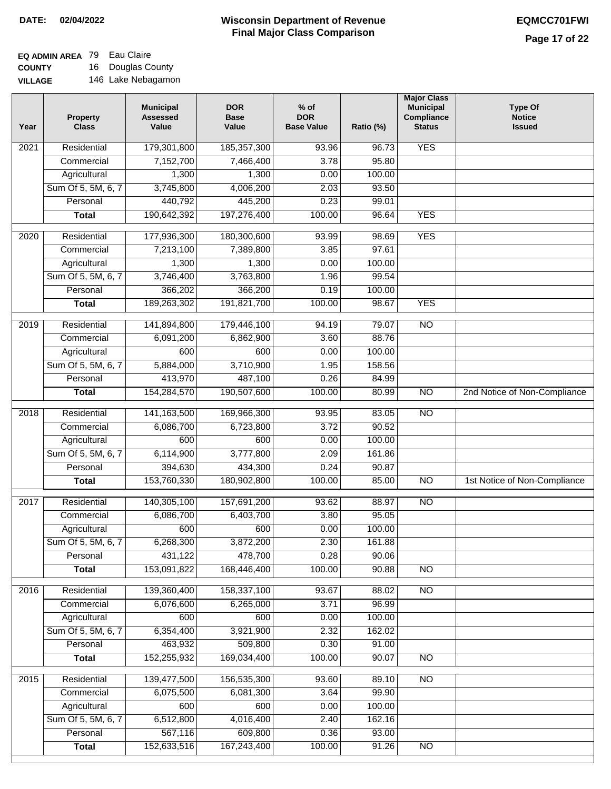### **EQ ADMIN AREA** 79 Eau Claire

**COUNTY VILLAGE** 16 Douglas County 146 Lake Nebagamon

| Year              | <b>Property</b><br><b>Class</b> | <b>Municipal</b><br><b>Assessed</b><br>Value | <b>DOR</b><br><b>Base</b><br>Value | $%$ of<br><b>DOR</b><br><b>Base Value</b> | Ratio (%) | <b>Major Class</b><br><b>Municipal</b><br>Compliance<br><b>Status</b> | <b>Type Of</b><br><b>Notice</b><br><b>Issued</b> |
|-------------------|---------------------------------|----------------------------------------------|------------------------------------|-------------------------------------------|-----------|-----------------------------------------------------------------------|--------------------------------------------------|
| $\overline{202}1$ | Residential                     | 179,301,800                                  | 185, 357, 300                      | 93.96                                     | 96.73     | <b>YES</b>                                                            |                                                  |
|                   | Commercial                      | 7,152,700                                    | 7,466,400                          | 3.78                                      | 95.80     |                                                                       |                                                  |
|                   | Agricultural                    | 1,300                                        | 1,300                              | 0.00                                      | 100.00    |                                                                       |                                                  |
|                   | Sum Of 5, 5M, 6, 7              | 3,745,800                                    | 4,006,200                          | 2.03                                      | 93.50     |                                                                       |                                                  |
|                   | Personal                        | 440,792                                      | 445,200                            | 0.23                                      | 99.01     |                                                                       |                                                  |
|                   | <b>Total</b>                    | 190,642,392                                  | 197,276,400                        | 100.00                                    | 96.64     | <b>YES</b>                                                            |                                                  |
| $\overline{2020}$ | Residential                     | 177,936,300                                  | 180,300,600                        | 93.99                                     | 98.69     | <b>YES</b>                                                            |                                                  |
|                   | Commercial                      | 7,213,100                                    | 7,389,800                          | 3.85                                      | 97.61     |                                                                       |                                                  |
|                   | Agricultural                    | 1,300                                        | 1,300                              | 0.00                                      | 100.00    |                                                                       |                                                  |
|                   | Sum Of 5, 5M, 6, 7              | 3,746,400                                    | 3,763,800                          | 1.96                                      | 99.54     |                                                                       |                                                  |
|                   | Personal                        | 366,202                                      | 366,200                            | 0.19                                      | 100.00    |                                                                       |                                                  |
|                   | <b>Total</b>                    | 189,263,302                                  | 191,821,700                        | 100.00                                    | 98.67     | <b>YES</b>                                                            |                                                  |
| 2019              | Residential                     | 141,894,800                                  | 179,446,100                        | 94.19                                     | 79.07     | $\overline{10}$                                                       |                                                  |
|                   | Commercial                      | 6,091,200                                    | 6,862,900                          | 3.60                                      | 88.76     |                                                                       |                                                  |
|                   | Agricultural                    | 600                                          | 600                                | 0.00                                      | 100.00    |                                                                       |                                                  |
|                   | Sum Of 5, 5M, 6, 7              | 5,884,000                                    | 3,710,900                          | 1.95                                      | 158.56    |                                                                       |                                                  |
|                   | Personal                        | 413,970                                      | 487,100                            | 0.26                                      | 84.99     |                                                                       |                                                  |
|                   | <b>Total</b>                    | 154,284,570                                  | 190,507,600                        | 100.00                                    | 80.99     | $\overline{NO}$                                                       | 2nd Notice of Non-Compliance                     |
| 2018              | Residential                     | 141,163,500                                  | 169,966,300                        | 93.95                                     | 83.05     | $\overline{NO}$                                                       |                                                  |
|                   | Commercial                      | 6,086,700                                    | 6,723,800                          | 3.72                                      | 90.52     |                                                                       |                                                  |
|                   | Agricultural                    | 600                                          | 600                                | 0.00                                      | 100.00    |                                                                       |                                                  |
|                   | Sum Of 5, 5M, 6, 7              | 6,114,900                                    | 3,777,800                          | 2.09                                      | 161.86    |                                                                       |                                                  |
|                   | Personal                        | 394,630                                      | 434,300                            | 0.24                                      | 90.87     |                                                                       |                                                  |
|                   | <b>Total</b>                    | 153,760,330                                  | 180,902,800                        | 100.00                                    | 85.00     | $\overline{NO}$                                                       | 1st Notice of Non-Compliance                     |
| 2017              | Residential                     | 140,305,100                                  | 157,691,200                        | 93.62                                     | 88.97     | $\overline{NO}$                                                       |                                                  |
|                   | Commercial                      | 6,086,700                                    | 6,403,700                          | 3.80                                      | 95.05     |                                                                       |                                                  |
|                   | Agricultural                    | 600                                          | 600                                | 0.00                                      | 100.00    |                                                                       |                                                  |
|                   | Sum Of 5, 5M, 6, 7              | 6,268,300                                    | 3,872,200                          | 2.30                                      | 161.88    |                                                                       |                                                  |
|                   | Personal                        | 431,122                                      | 478,700                            | 0.28                                      | 90.06     |                                                                       |                                                  |
|                   | <b>Total</b>                    | 153,091,822                                  | 168,446,400                        | 100.00                                    | 90.88     | <b>NO</b>                                                             |                                                  |
| 2016              | Residential                     | 139,360,400                                  | 158,337,100                        | 93.67                                     | 88.02     | $\overline{NO}$                                                       |                                                  |
|                   | Commercial                      | 6,076,600                                    | 6,265,000                          | 3.71                                      | 96.99     |                                                                       |                                                  |
|                   | Agricultural                    | 600                                          | 600                                | 0.00                                      | 100.00    |                                                                       |                                                  |
|                   | Sum Of 5, 5M, 6, 7              | 6,354,400                                    | 3,921,900                          | 2.32                                      | 162.02    |                                                                       |                                                  |
|                   | Personal                        | 463,932                                      | 509,800                            | 0.30                                      | 91.00     |                                                                       |                                                  |
|                   | <b>Total</b>                    | 152,255,932                                  | 169,034,400                        | 100.00                                    | 90.07     | $\overline{NO}$                                                       |                                                  |
| 2015              | Residential                     | 139,477,500                                  | 156,535,300                        | 93.60                                     | 89.10     | <b>NO</b>                                                             |                                                  |
|                   | Commercial                      | 6,075,500                                    | 6,081,300                          | 3.64                                      | 99.90     |                                                                       |                                                  |
|                   | Agricultural                    | 600                                          | 600                                | 0.00                                      | 100.00    |                                                                       |                                                  |
|                   | Sum Of 5, 5M, 6, 7              | 6,512,800                                    | 4,016,400                          | 2.40                                      | 162.16    |                                                                       |                                                  |
|                   | Personal                        | 567,116                                      | 609,800                            | 0.36                                      | 93.00     |                                                                       |                                                  |
|                   | <b>Total</b>                    | 152,633,516                                  | 167,243,400                        | 100.00                                    | 91.26     | NO                                                                    |                                                  |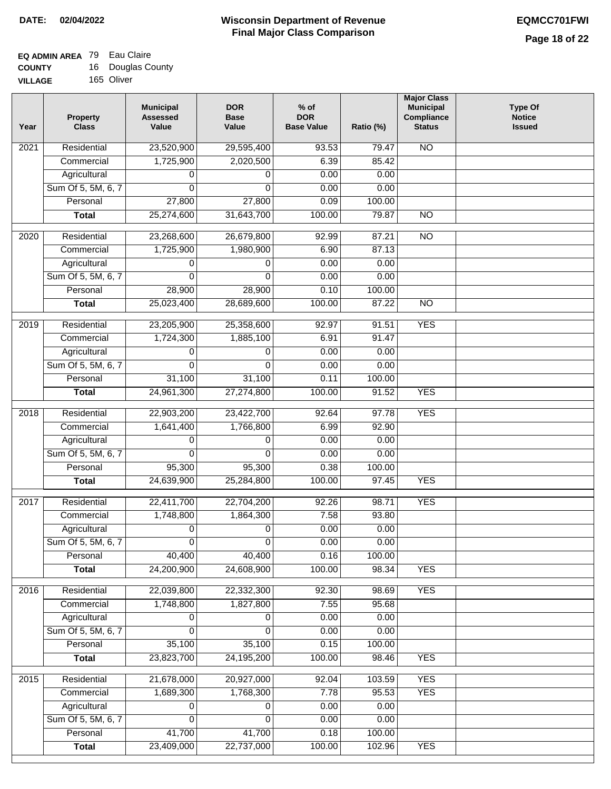#### **EQ ADMIN AREA** 79 Eau Claire **COUNTY**  $16 \quad D_0$

| <b>COUNTY</b>  | 16 | Douglas County |
|----------------|----|----------------|
| <b>VILLAGE</b> |    | 165 Oliver     |

| Year | <b>Property</b><br><b>Class</b> | <b>Municipal</b><br><b>Assessed</b><br>Value | <b>DOR</b><br><b>Base</b><br>Value | $%$ of<br><b>DOR</b><br><b>Base Value</b> | Ratio (%) | <b>Major Class</b><br><b>Municipal</b><br>Compliance<br><b>Status</b> | <b>Type Of</b><br><b>Notice</b><br><b>Issued</b> |
|------|---------------------------------|----------------------------------------------|------------------------------------|-------------------------------------------|-----------|-----------------------------------------------------------------------|--------------------------------------------------|
| 2021 | Residential                     | 23,520,900                                   | 29,595,400                         | 93.53                                     | 79.47     | N <sub>O</sub>                                                        |                                                  |
|      | Commercial                      | 1,725,900                                    | 2,020,500                          | 6.39                                      | 85.42     |                                                                       |                                                  |
|      | Agricultural                    | 0                                            | 0                                  | 0.00                                      | 0.00      |                                                                       |                                                  |
|      | Sum Of 5, 5M, 6, 7              | 0                                            | 0                                  | 0.00                                      | 0.00      |                                                                       |                                                  |
|      | Personal                        | 27,800                                       | 27,800                             | 0.09                                      | 100.00    |                                                                       |                                                  |
|      | <b>Total</b>                    | 25,274,600                                   | 31,643,700                         | 100.00                                    | 79.87     | $\overline{NO}$                                                       |                                                  |
| 2020 | Residential                     | 23,268,600                                   | 26,679,800                         | 92.99                                     | 87.21     | $\overline{10}$                                                       |                                                  |
|      | Commercial                      | 1,725,900                                    | 1,980,900                          | 6.90                                      | 87.13     |                                                                       |                                                  |
|      | Agricultural                    | 0                                            | 0                                  | 0.00                                      | 0.00      |                                                                       |                                                  |
|      | Sum Of 5, 5M, 6, 7              | 0                                            | 0                                  | 0.00                                      | 0.00      |                                                                       |                                                  |
|      | Personal                        | 28,900                                       | 28,900                             | 0.10                                      | 100.00    |                                                                       |                                                  |
|      | <b>Total</b>                    | 25,023,400                                   | 28,689,600                         | 100.00                                    | 87.22     | $\overline{NO}$                                                       |                                                  |
| 2019 | Residential                     | 23,205,900                                   | 25,358,600                         | 92.97                                     | 91.51     | <b>YES</b>                                                            |                                                  |
|      | Commercial                      | 1,724,300                                    | 1,885,100                          | 6.91                                      | 91.47     |                                                                       |                                                  |
|      | Agricultural                    | 0                                            | 0                                  | 0.00                                      | 0.00      |                                                                       |                                                  |
|      | Sum Of 5, 5M, 6, 7              | $\Omega$                                     | $\Omega$                           | 0.00                                      | 0.00      |                                                                       |                                                  |
|      | Personal                        | 31,100                                       | 31,100                             | 0.11                                      | 100.00    |                                                                       |                                                  |
|      | <b>Total</b>                    | 24,961,300                                   | 27,274,800                         | 100.00                                    | 91.52     | <b>YES</b>                                                            |                                                  |
| 2018 | Residential                     | 22,903,200                                   | 23,422,700                         | 92.64                                     | 97.78     | <b>YES</b>                                                            |                                                  |
|      | Commercial                      | 1,641,400                                    | 1,766,800                          | 6.99                                      | 92.90     |                                                                       |                                                  |
|      | Agricultural                    | 0                                            | 0                                  | 0.00                                      | 0.00      |                                                                       |                                                  |
|      | Sum Of 5, 5M, 6, 7              | $\Omega$                                     | $\Omega$                           | 0.00                                      | 0.00      |                                                                       |                                                  |
|      | Personal                        | 95,300                                       | 95,300                             | 0.38                                      | 100.00    |                                                                       |                                                  |
|      | <b>Total</b>                    | 24,639,900                                   | 25,284,800                         | 100.00                                    | 97.45     | <b>YES</b>                                                            |                                                  |
| 2017 | Residential                     | 22,411,700                                   | 22,704,200                         | 92.26                                     | 98.71     | <b>YES</b>                                                            |                                                  |
|      | Commercial                      | 1,748,800                                    | 1,864,300                          | 7.58                                      | 93.80     |                                                                       |                                                  |
|      | Agricultural                    | 0                                            | 0                                  | 0.00                                      | 0.00      |                                                                       |                                                  |
|      | Sum Of 5, 5M, 6, 7              | 0                                            | 0                                  | 0.00                                      | 0.00      |                                                                       |                                                  |
|      | Personal                        | 40,400                                       | 40,400                             | 0.16                                      | 100.00    |                                                                       |                                                  |
|      | <b>Total</b>                    | 24,200,900                                   | 24,608,900                         | 100.00                                    | 98.34     | <b>YES</b>                                                            |                                                  |
| 2016 | Residential                     | 22,039,800                                   | 22,332,300                         | 92.30                                     | 98.69     | <b>YES</b>                                                            |                                                  |
|      | Commercial                      | 1,748,800                                    | 1,827,800                          | 7.55                                      | 95.68     |                                                                       |                                                  |
|      | Agricultural                    | 0                                            | 0                                  | 0.00                                      | 0.00      |                                                                       |                                                  |
|      | Sum Of 5, 5M, 6, 7              | 0                                            | 0                                  | 0.00                                      | 0.00      |                                                                       |                                                  |
|      | Personal                        | 35,100                                       | 35,100                             | 0.15                                      | 100.00    |                                                                       |                                                  |
|      | <b>Total</b>                    | 23,823,700                                   | 24,195,200                         | 100.00                                    | 98.46     | <b>YES</b>                                                            |                                                  |
| 2015 | Residential                     | 21,678,000                                   | 20,927,000                         | 92.04                                     | 103.59    | <b>YES</b>                                                            |                                                  |
|      | Commercial                      | 1,689,300                                    | 1,768,300                          | 7.78                                      | 95.53     | <b>YES</b>                                                            |                                                  |
|      | Agricultural                    | 0                                            | 0                                  | 0.00                                      | 0.00      |                                                                       |                                                  |
|      | Sum Of 5, 5M, 6, 7              | 0                                            | 0                                  | 0.00                                      | 0.00      |                                                                       |                                                  |
|      | Personal                        | 41,700                                       | 41,700                             | 0.18                                      | 100.00    |                                                                       |                                                  |
|      | <b>Total</b>                    | 23,409,000                                   | 22,737,000                         | 100.00                                    | 102.96    | <b>YES</b>                                                            |                                                  |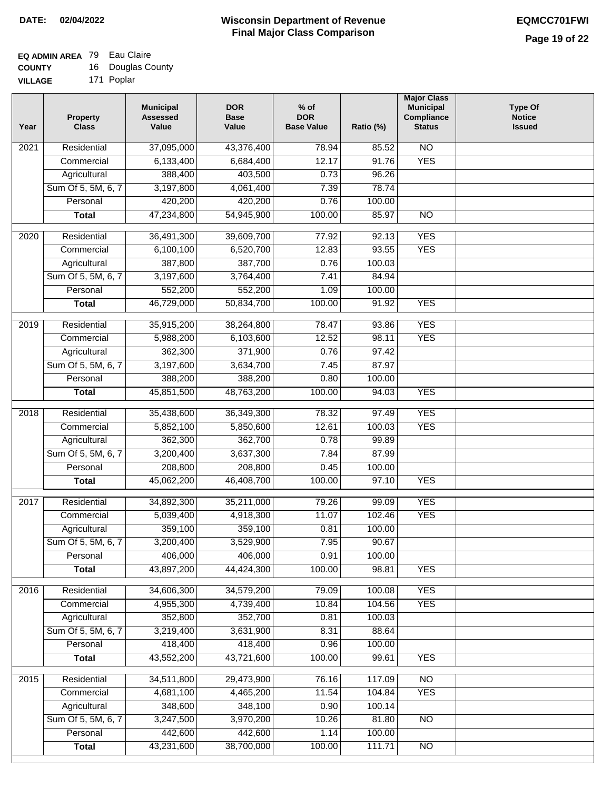### **EQ ADMIN AREA** 79 Eau Claire

| <b>COUNTY</b>  | 16 | Douglas County |
|----------------|----|----------------|
| <b>VILLAGE</b> |    | 171 Poplar     |

| 171 Poplar<br>.AGE |  |
|--------------------|--|

| Year | <b>Property</b><br><b>Class</b> | <b>Municipal</b><br><b>Assessed</b><br>Value | <b>DOR</b><br><b>Base</b><br>Value | $%$ of<br><b>DOR</b><br><b>Base Value</b> | Ratio (%) | <b>Major Class</b><br><b>Municipal</b><br>Compliance<br><b>Status</b> | <b>Type Of</b><br><b>Notice</b><br><b>Issued</b> |
|------|---------------------------------|----------------------------------------------|------------------------------------|-------------------------------------------|-----------|-----------------------------------------------------------------------|--------------------------------------------------|
| 2021 | Residential                     | 37,095,000                                   | 43,376,400                         | 78.94                                     | 85.52     | $\overline{NO}$                                                       |                                                  |
|      | Commercial                      | 6,133,400                                    | 6,684,400                          | 12.17                                     | 91.76     | <b>YES</b>                                                            |                                                  |
|      | Agricultural                    | 388,400                                      | 403,500                            | 0.73                                      | 96.26     |                                                                       |                                                  |
|      | Sum Of 5, 5M, 6, 7              | 3,197,800                                    | 4,061,400                          | 7.39                                      | 78.74     |                                                                       |                                                  |
|      | Personal                        | 420,200                                      | 420,200                            | 0.76                                      | 100.00    |                                                                       |                                                  |
|      | <b>Total</b>                    | 47,234,800                                   | 54,945,900                         | 100.00                                    | 85.97     | $\overline{NO}$                                                       |                                                  |
| 2020 | Residential                     | 36,491,300                                   | 39,609,700                         | 77.92                                     | 92.13     | <b>YES</b>                                                            |                                                  |
|      | Commercial                      | 6,100,100                                    | 6,520,700                          | 12.83                                     | 93.55     | <b>YES</b>                                                            |                                                  |
|      | Agricultural                    | 387,800                                      | 387,700                            | 0.76                                      | 100.03    |                                                                       |                                                  |
|      | Sum Of 5, 5M, 6, 7              | 3,197,600                                    | 3,764,400                          | 7.41                                      | 84.94     |                                                                       |                                                  |
|      | Personal                        | 552,200                                      | 552,200                            | 1.09                                      | 100.00    |                                                                       |                                                  |
|      | <b>Total</b>                    | 46,729,000                                   | 50,834,700                         | 100.00                                    | 91.92     | <b>YES</b>                                                            |                                                  |
| 2019 | Residential                     | 35,915,200                                   | 38,264,800                         | 78.47                                     | 93.86     | <b>YES</b>                                                            |                                                  |
|      | Commercial                      | 5,988,200                                    | 6,103,600                          | 12.52                                     | 98.11     | <b>YES</b>                                                            |                                                  |
|      | Agricultural                    | 362,300                                      | 371,900                            | 0.76                                      | 97.42     |                                                                       |                                                  |
|      | Sum Of 5, 5M, 6, 7              | 3,197,600                                    | 3,634,700                          | 7.45                                      | 87.97     |                                                                       |                                                  |
|      | Personal                        | 388,200                                      | 388,200                            | 0.80                                      | 100.00    |                                                                       |                                                  |
|      | <b>Total</b>                    | 45,851,500                                   | 48,763,200                         | 100.00                                    | 94.03     | <b>YES</b>                                                            |                                                  |
| 2018 | Residential                     | 35,438,600                                   | 36,349,300                         | 78.32                                     | 97.49     | <b>YES</b>                                                            |                                                  |
|      | Commercial                      | 5,852,100                                    | 5,850,600                          | 12.61                                     | 100.03    | <b>YES</b>                                                            |                                                  |
|      | Agricultural                    | 362,300                                      | 362,700                            | 0.78                                      | 99.89     |                                                                       |                                                  |
|      | Sum Of 5, 5M, 6, 7              | 3,200,400                                    | 3,637,300                          | 7.84                                      | 87.99     |                                                                       |                                                  |
|      | Personal                        | 208,800                                      | 208,800                            | 0.45                                      | 100.00    |                                                                       |                                                  |
|      | <b>Total</b>                    | 45,062,200                                   | 46,408,700                         | 100.00                                    | 97.10     | <b>YES</b>                                                            |                                                  |
| 2017 | Residential                     | 34,892,300                                   | 35,211,000                         | 79.26                                     | 99.09     | <b>YES</b>                                                            |                                                  |
|      | Commercial                      | 5,039,400                                    | 4,918,300                          | 11.07                                     | 102.46    | <b>YES</b>                                                            |                                                  |
|      | Agricultural                    | 359,100                                      | 359,100                            | 0.81                                      | 100.00    |                                                                       |                                                  |
|      | Sum Of 5, 5M, 6, 7              | 3,200,400                                    | 3,529,900                          | 7.95                                      | 90.67     |                                                                       |                                                  |
|      | Personal                        | 406,000                                      | 406,000                            | 0.91                                      | 100.00    |                                                                       |                                                  |
|      | <b>Total</b>                    | 43,897,200                                   | 44,424,300                         | 100.00                                    | 98.81     | <b>YES</b>                                                            |                                                  |
|      |                                 |                                              |                                    |                                           |           |                                                                       |                                                  |
| 2016 | Residential                     | 34,606,300                                   | 34,579,200                         | 79.09                                     | 100.08    | <b>YES</b>                                                            |                                                  |
|      | Commercial                      | 4,955,300                                    | 4,739,400                          | 10.84                                     | 104.56    | <b>YES</b>                                                            |                                                  |
|      | Agricultural                    | 352,800                                      | 352,700                            | 0.81                                      | 100.03    |                                                                       |                                                  |
|      | Sum Of 5, 5M, 6, 7              | 3,219,400                                    | 3,631,900                          | 8.31                                      | 88.64     |                                                                       |                                                  |
|      | Personal                        | 418,400                                      | 418,400                            | 0.96                                      | 100.00    |                                                                       |                                                  |
|      | <b>Total</b>                    | 43,552,200                                   | 43,721,600                         | 100.00                                    | 99.61     | <b>YES</b>                                                            |                                                  |
| 2015 | Residential                     | 34,511,800                                   | 29,473,900                         | 76.16                                     | 117.09    | $\overline{NO}$                                                       |                                                  |
|      | Commercial                      | 4,681,100                                    | 4,465,200                          | 11.54                                     | 104.84    | <b>YES</b>                                                            |                                                  |
|      | Agricultural                    | 348,600                                      | 348,100                            | 0.90                                      | 100.14    |                                                                       |                                                  |
|      | Sum Of 5, 5M, 6, 7              | 3,247,500                                    | 3,970,200                          | 10.26                                     | 81.80     | <b>NO</b>                                                             |                                                  |
|      | Personal                        | 442,600                                      | 442,600                            | 1.14                                      | 100.00    |                                                                       |                                                  |
|      | <b>Total</b>                    | 43,231,600                                   | 38,700,000                         | 100.00                                    | 111.71    | N <sub>O</sub>                                                        |                                                  |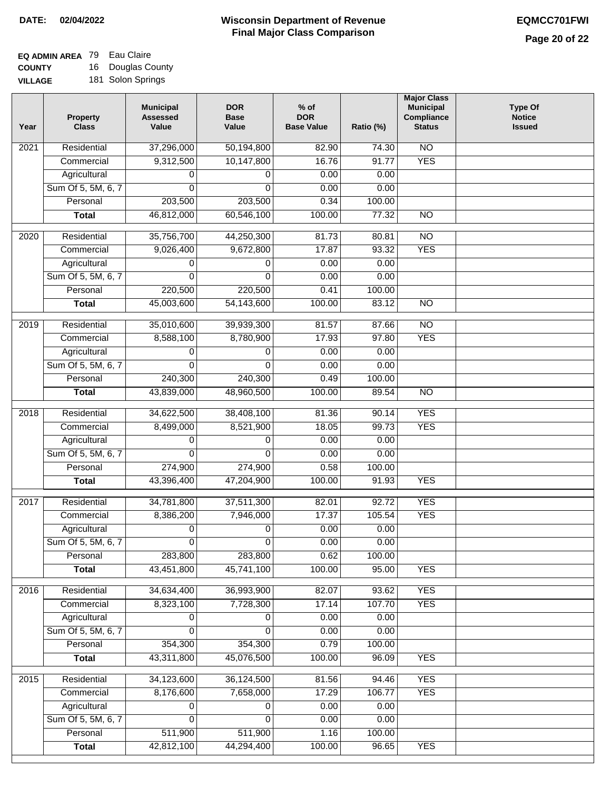# **EQ ADMIN AREA** 79 Eau Claire

**COUNTY VILLAGE** 16 Douglas County 181 Solon Springs

| Year | Property<br><b>Class</b> | <b>Municipal</b><br><b>Assessed</b><br>Value | <b>DOR</b><br><b>Base</b><br>Value | $%$ of<br><b>DOR</b><br><b>Base Value</b> | Ratio (%) | <b>Major Class</b><br><b>Municipal</b><br>Compliance<br><b>Status</b> | <b>Type Of</b><br><b>Notice</b><br><b>Issued</b> |
|------|--------------------------|----------------------------------------------|------------------------------------|-------------------------------------------|-----------|-----------------------------------------------------------------------|--------------------------------------------------|
| 2021 | Residential              | 37,296,000                                   | 50,194,800                         | 82.90                                     | 74.30     | N <sub>O</sub>                                                        |                                                  |
|      | Commercial               | 9,312,500                                    | 10,147,800                         | 16.76                                     | 91.77     | <b>YES</b>                                                            |                                                  |
|      | Agricultural             | 0                                            | 0                                  | 0.00                                      | 0.00      |                                                                       |                                                  |
|      | Sum Of 5, 5M, 6, 7       | $\Omega$                                     | $\Omega$                           | 0.00                                      | 0.00      |                                                                       |                                                  |
|      | Personal                 | 203,500                                      | 203,500                            | 0.34                                      | 100.00    |                                                                       |                                                  |
|      | <b>Total</b>             | 46,812,000                                   | 60,546,100                         | 100.00                                    | 77.32     | $\overline{NO}$                                                       |                                                  |
| 2020 | Residential              | 35,756,700                                   | 44,250,300                         | 81.73                                     | 80.81     | $\overline{NO}$                                                       |                                                  |
|      | Commercial               | 9,026,400                                    | 9,672,800                          | 17.87                                     | 93.32     | <b>YES</b>                                                            |                                                  |
|      | Agricultural             | 0                                            | 0                                  | 0.00                                      | 0.00      |                                                                       |                                                  |
|      | Sum Of 5, 5M, 6, 7       | $\Omega$                                     | $\Omega$                           | 0.00                                      | 0.00      |                                                                       |                                                  |
|      | Personal                 | 220,500                                      | 220,500                            | 0.41                                      | 100.00    |                                                                       |                                                  |
|      | <b>Total</b>             | 45,003,600                                   | 54,143,600                         | 100.00                                    | 83.12     | $\overline{NO}$                                                       |                                                  |
| 2019 | Residential              | 35,010,600                                   | 39,939,300                         | 81.57                                     | 87.66     | $\overline{10}$                                                       |                                                  |
|      | Commercial               | 8,588,100                                    | 8,780,900                          | 17.93                                     | 97.80     | <b>YES</b>                                                            |                                                  |
|      | Agricultural             | 0                                            | 0                                  | 0.00                                      | 0.00      |                                                                       |                                                  |
|      | Sum Of 5, 5M, 6, 7       | $\Omega$                                     | $\Omega$                           | 0.00                                      | 0.00      |                                                                       |                                                  |
|      | Personal                 | 240,300                                      | 240,300                            | 0.49                                      | 100.00    |                                                                       |                                                  |
|      | <b>Total</b>             | 43,839,000                                   | 48,960,500                         | 100.00                                    | 89.54     | $\overline{NO}$                                                       |                                                  |
|      |                          |                                              |                                    |                                           |           |                                                                       |                                                  |
| 2018 | Residential              | 34,622,500                                   | 38,408,100                         | 81.36                                     | 90.14     | <b>YES</b>                                                            |                                                  |
|      | Commercial               | 8,499,000                                    | 8,521,900                          | 18.05                                     | 99.73     | <b>YES</b>                                                            |                                                  |
|      | Agricultural             | 0                                            | 0                                  | 0.00                                      | 0.00      |                                                                       |                                                  |
|      | Sum Of 5, 5M, 6, 7       | $\mathbf 0$                                  | $\mathbf 0$                        | 0.00                                      | 0.00      |                                                                       |                                                  |
|      | Personal                 | 274,900                                      | 274,900                            | 0.58                                      | 100.00    |                                                                       |                                                  |
|      | <b>Total</b>             | 43,396,400                                   | 47,204,900                         | 100.00                                    | 91.93     | <b>YES</b>                                                            |                                                  |
| 2017 | Residential              | 34,781,800                                   | 37,511,300                         | 82.01                                     | 92.72     | <b>YES</b>                                                            |                                                  |
|      | Commercial               | 8,386,200                                    | 7,946,000                          | 17.37                                     | 105.54    | <b>YES</b>                                                            |                                                  |
|      | Agricultural             | 0                                            | $\pmb{0}$                          | 0.00                                      | 0.00      |                                                                       |                                                  |
|      | Sum Of 5, 5M, 6, 7       | $\pmb{0}$                                    | $\overline{0}$                     | 0.00                                      | 0.00      |                                                                       |                                                  |
|      | Personal                 | 283,800                                      | 283,800                            | 0.62                                      | 100.00    |                                                                       |                                                  |
|      | <b>Total</b>             | 43,451,800                                   | 45,741,100                         | 100.00                                    | 95.00     | <b>YES</b>                                                            |                                                  |
| 2016 | Residential              | 34,634,400                                   | 36,993,900                         | 82.07                                     | 93.62     | <b>YES</b>                                                            |                                                  |
|      | Commercial               | 8,323,100                                    | 7,728,300                          | 17.14                                     | 107.70    | <b>YES</b>                                                            |                                                  |
|      | Agricultural             | 0                                            | 0                                  | 0.00                                      | 0.00      |                                                                       |                                                  |
|      | Sum Of 5, 5M, 6, 7       | $\Omega$                                     | $\Omega$                           | 0.00                                      | 0.00      |                                                                       |                                                  |
|      | Personal                 | 354,300                                      | 354,300                            | 0.79                                      | 100.00    |                                                                       |                                                  |
|      | <b>Total</b>             | 43,311,800                                   | 45,076,500                         | 100.00                                    | 96.09     | <b>YES</b>                                                            |                                                  |
| 2015 | Residential              | 34,123,600                                   | 36,124,500                         | 81.56                                     | 94.46     | <b>YES</b>                                                            |                                                  |
|      | Commercial               | 8,176,600                                    | 7,658,000                          | 17.29                                     | 106.77    | <b>YES</b>                                                            |                                                  |
|      | Agricultural             | 0                                            | 0                                  | 0.00                                      | 0.00      |                                                                       |                                                  |
|      | Sum Of 5, 5M, 6, 7       | 0                                            | 0                                  | 0.00                                      | 0.00      |                                                                       |                                                  |
|      | Personal                 | 511,900                                      | 511,900                            | 1.16                                      | 100.00    |                                                                       |                                                  |
|      | <b>Total</b>             | 42,812,100                                   | 44,294,400                         | 100.00                                    | 96.65     | <b>YES</b>                                                            |                                                  |
|      |                          |                                              |                                    |                                           |           |                                                                       |                                                  |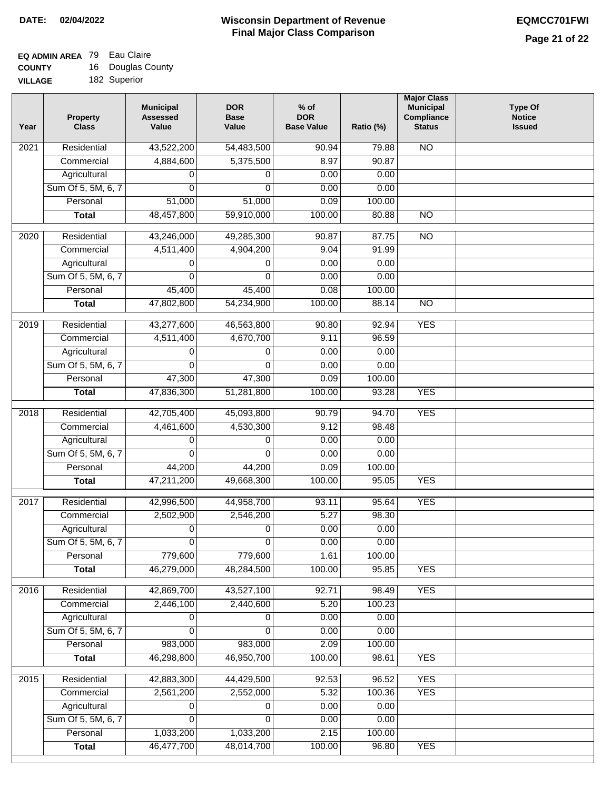## **EQ ADMIN AREA** 79 Eau Claire

**COUNTY VILLAGE** 16 Douglas County

| 182 Superior<br>GЕ |
|--------------------|
|                    |

| Year | <b>Property</b><br><b>Class</b> | <b>Municipal</b><br><b>Assessed</b><br>Value | <b>DOR</b><br><b>Base</b><br>Value | $%$ of<br><b>DOR</b><br><b>Base Value</b> | Ratio (%) | <b>Major Class</b><br><b>Municipal</b><br>Compliance<br><b>Status</b> | <b>Type Of</b><br><b>Notice</b><br><b>Issued</b> |
|------|---------------------------------|----------------------------------------------|------------------------------------|-------------------------------------------|-----------|-----------------------------------------------------------------------|--------------------------------------------------|
| 2021 | Residential                     | 43,522,200                                   | 54,483,500                         | 90.94                                     | 79.88     | N <sub>O</sub>                                                        |                                                  |
|      | Commercial                      | 4,884,600                                    | 5,375,500                          | 8.97                                      | 90.87     |                                                                       |                                                  |
|      | Agricultural                    | 0                                            | 0                                  | 0.00                                      | 0.00      |                                                                       |                                                  |
|      | Sum Of 5, 5M, 6, 7              | 0                                            | $\mathbf{0}$                       | 0.00                                      | 0.00      |                                                                       |                                                  |
|      | Personal                        | 51,000                                       | 51,000                             | 0.09                                      | 100.00    |                                                                       |                                                  |
|      | <b>Total</b>                    | 48,457,800                                   | 59,910,000                         | 100.00                                    | 80.88     | $\overline{NO}$                                                       |                                                  |
| 2020 | Residential                     | 43,246,000                                   | 49,285,300                         | 90.87                                     | 87.75     | $\overline{NO}$                                                       |                                                  |
|      | Commercial                      | 4,511,400                                    | 4,904,200                          | 9.04                                      | 91.99     |                                                                       |                                                  |
|      | Agricultural                    | 0                                            | 0                                  | 0.00                                      | 0.00      |                                                                       |                                                  |
|      | Sum Of 5, 5M, 6, 7              | $\Omega$                                     | 0                                  | 0.00                                      | 0.00      |                                                                       |                                                  |
|      | Personal                        | 45,400                                       | 45,400                             | 0.08                                      | 100.00    |                                                                       |                                                  |
|      | <b>Total</b>                    | 47,802,800                                   | 54,234,900                         | 100.00                                    | 88.14     | $\overline{NO}$                                                       |                                                  |
| 2019 | Residential                     | 43,277,600                                   | 46,563,800                         | 90.80                                     | 92.94     | <b>YES</b>                                                            |                                                  |
|      | Commercial                      | 4,511,400                                    | 4,670,700                          | 9.11                                      | 96.59     |                                                                       |                                                  |
|      | Agricultural                    | 0                                            | 0                                  | 0.00                                      | 0.00      |                                                                       |                                                  |
|      | Sum Of 5, 5M, 6, 7              | $\Omega$                                     | $\Omega$                           | 0.00                                      | 0.00      |                                                                       |                                                  |
|      | Personal                        | 47,300                                       | 47,300                             | 0.09                                      | 100.00    |                                                                       |                                                  |
|      | <b>Total</b>                    | 47,836,300                                   | 51,281,800                         | 100.00                                    | 93.28     | <b>YES</b>                                                            |                                                  |
|      |                                 |                                              |                                    |                                           |           |                                                                       |                                                  |
| 2018 | Residential                     | 42,705,400                                   | 45,093,800                         | 90.79                                     | 94.70     | <b>YES</b>                                                            |                                                  |
|      | Commercial                      | 4,461,600                                    | 4,530,300                          | 9.12                                      | 98.48     |                                                                       |                                                  |
|      | Agricultural                    | 0                                            | 0                                  | 0.00                                      | 0.00      |                                                                       |                                                  |
|      | Sum Of 5, 5M, 6, 7              | 0                                            | 0                                  | 0.00                                      | 0.00      |                                                                       |                                                  |
|      | Personal                        | 44,200                                       | 44,200                             | 0.09                                      | 100.00    |                                                                       |                                                  |
|      | <b>Total</b>                    | 47,211,200                                   | 49,668,300                         | 100.00                                    | 95.05     | <b>YES</b>                                                            |                                                  |
| 2017 | Residential                     | 42,996,500                                   | 44,958,700                         | 93.11                                     | 95.64     | <b>YES</b>                                                            |                                                  |
|      | Commercial                      | 2,502,900                                    | 2,546,200                          | 5.27                                      | 98.30     |                                                                       |                                                  |
|      | Agricultural                    | 0                                            | 0                                  | 0.00                                      | 0.00      |                                                                       |                                                  |
|      | Sum Of 5, 5M, 6, 7              | $\overline{0}$                               | $\overline{0}$                     | 0.00                                      | 0.00      |                                                                       |                                                  |
|      | Personal                        | 779,600                                      | 779,600                            | 1.61                                      | 100.00    |                                                                       |                                                  |
|      | <b>Total</b>                    | 46,279,000                                   | 48,284,500                         | 100.00                                    | 95.85     | <b>YES</b>                                                            |                                                  |
| 2016 | Residential                     | 42,869,700                                   | 43,527,100                         | 92.71                                     | 98.49     | <b>YES</b>                                                            |                                                  |
|      | Commercial                      | 2,446,100                                    | 2,440,600                          | 5.20                                      | 100.23    |                                                                       |                                                  |
|      | Agricultural                    | 0                                            | 0                                  | 0.00                                      | 0.00      |                                                                       |                                                  |
|      | Sum Of 5, 5M, 6, 7              | 0                                            | $\Omega$                           | 0.00                                      | 0.00      |                                                                       |                                                  |
|      | Personal                        | 983,000                                      | 983,000                            | 2.09                                      | 100.00    |                                                                       |                                                  |
|      | <b>Total</b>                    | 46,298,800                                   | 46,950,700                         | 100.00                                    | 98.61     | <b>YES</b>                                                            |                                                  |
|      |                                 |                                              |                                    |                                           |           |                                                                       |                                                  |
| 2015 | Residential                     | 42,883,300                                   | 44,429,500                         | 92.53                                     | 96.52     | <b>YES</b>                                                            |                                                  |
|      | Commercial                      | 2,561,200                                    | 2,552,000                          | 5.32                                      | 100.36    | <b>YES</b>                                                            |                                                  |
|      | Agricultural                    | 0                                            | 0                                  | 0.00                                      | 0.00      |                                                                       |                                                  |
|      | Sum Of 5, 5M, 6, 7              | 0                                            | 0                                  | 0.00                                      | 0.00      |                                                                       |                                                  |
|      | Personal                        | 1,033,200                                    | 1,033,200                          | 2.15                                      | 100.00    |                                                                       |                                                  |
|      | <b>Total</b>                    | 46,477,700                                   | 48,014,700                         | 100.00                                    | 96.80     | <b>YES</b>                                                            |                                                  |